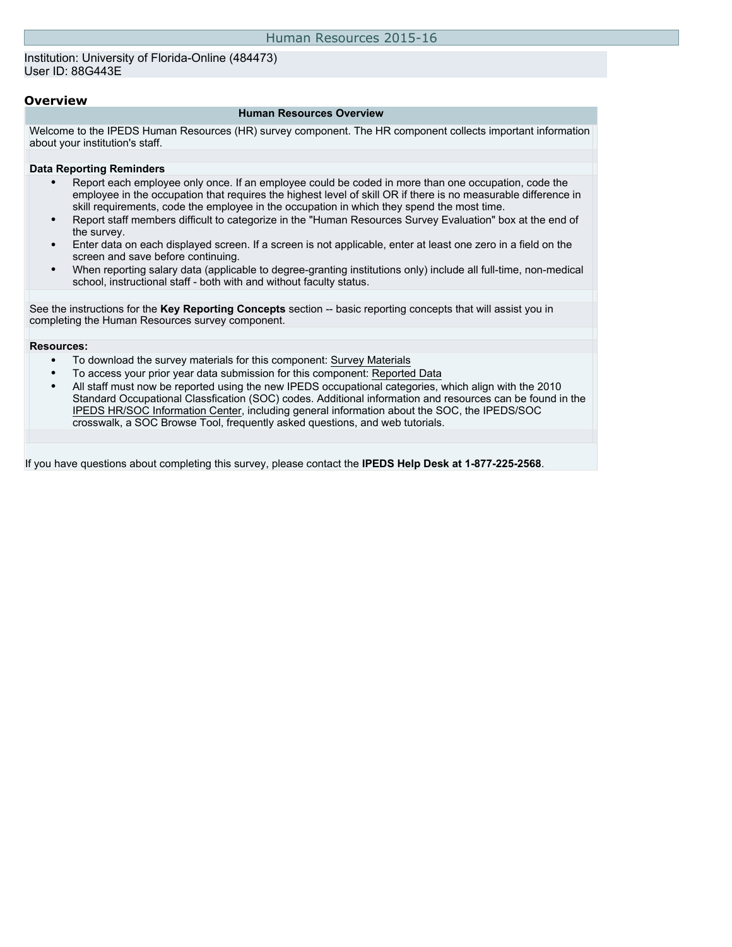Institution: University of Florida-Online (484473) User ID: 88G443E

#### **Overview**

#### **Human Resources Overview**

Welcome to the IPEDS Human Resources (HR) survey component. The HR component collects important information about your institution's staff.

#### **Data Reporting Reminders**

- Report each employee only once. If an employee could be coded in more than one occupation, code the employee in the occupation that requires the highest level of skill OR if there is no measurable difference in skill requirements, code the employee in the occupation in which they spend the most time.
- Report staff members difficult to categorize in the "Human Resources Survey Evaluation" box at the end of the survey.
- Enter data on each displayed screen. If a screen is not applicable, enter at least one zero in a field on the screen and save before continuing.
- When reporting salary data (applicable to degree-granting institutions only) include all full-time, non-medical school, instructional staff - both with and without faculty status.

See the instructions for the **Key Reporting Concepts** section -- basic reporting concepts that will assist you in completing the Human Resources survey component.

#### **Resources:**

- To download the survey materials for this component: [Survey Materials](https://surveys.nces.ed.gov/ipeds/VisIndex.aspx)
- To access your prior year data submission for this component: [Reported Data](http://192.168.102.89/IPEDS/PriorYearDataRedirect.aspx?survey_id=1)
- All staff must now be reported using the new IPEDS occupational categories, which align with the 2010 Standard Occupational Classfication (SOC) codes. Additional information and resources can be found in the [IPEDS HR/SOC Information Center](http://nces.ed.gov/ipeds/Section/resources_soc), including general information about the SOC, the IPEDS/SOC crosswalk, a SOC Browse Tool, frequently asked questions, and web tutorials.

If you have questions about completing this survey, please contact the **IPEDS Help Desk at 1-877-225-2568**.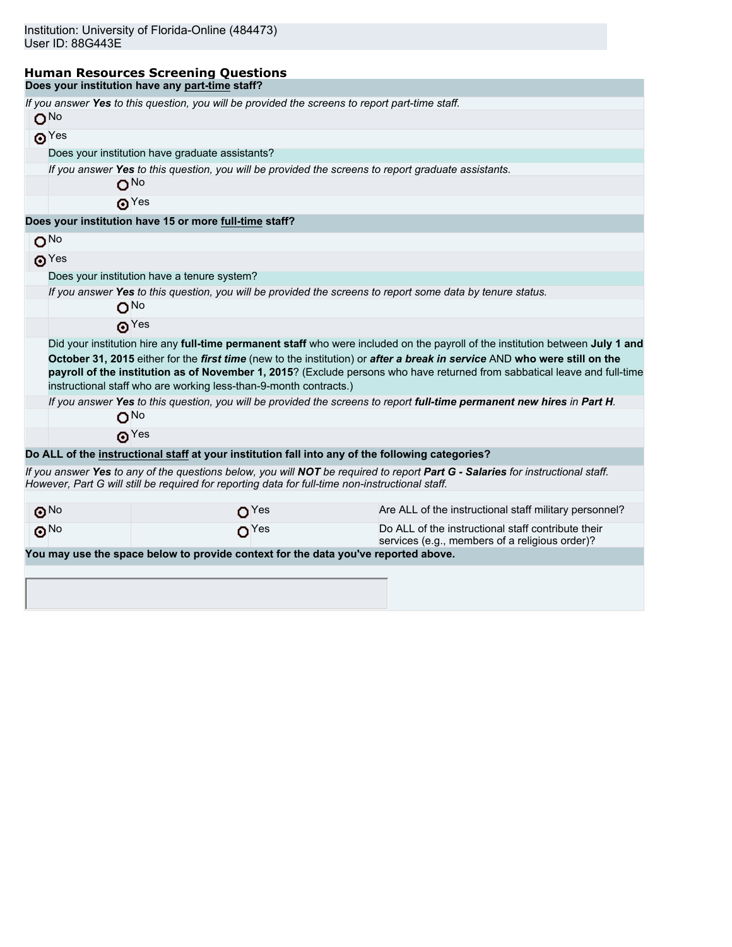#### **Human Resources Screening Questions Does your institution have any part-time staff?**

|                       | If you answer Yes to this question, you will be provided the screens to report part-time staff.            |                                                                                                                                                                                                                                                                                                                                                                                          |
|-----------------------|------------------------------------------------------------------------------------------------------------|------------------------------------------------------------------------------------------------------------------------------------------------------------------------------------------------------------------------------------------------------------------------------------------------------------------------------------------------------------------------------------------|
| O <sub>No</sub>       |                                                                                                            |                                                                                                                                                                                                                                                                                                                                                                                          |
| $\odot$ Yes           |                                                                                                            |                                                                                                                                                                                                                                                                                                                                                                                          |
|                       | Does your institution have graduate assistants?                                                            |                                                                                                                                                                                                                                                                                                                                                                                          |
|                       | If you answer Yes to this question, you will be provided the screens to report graduate assistants.        |                                                                                                                                                                                                                                                                                                                                                                                          |
|                       | O <sub>No</sub>                                                                                            |                                                                                                                                                                                                                                                                                                                                                                                          |
|                       | $\odot$ Yes                                                                                                |                                                                                                                                                                                                                                                                                                                                                                                          |
|                       | Does your institution have 15 or more full-time staff?                                                     |                                                                                                                                                                                                                                                                                                                                                                                          |
| O <sub>No</sub>       |                                                                                                            |                                                                                                                                                                                                                                                                                                                                                                                          |
| $\odot$ Yes           |                                                                                                            |                                                                                                                                                                                                                                                                                                                                                                                          |
|                       | Does your institution have a tenure system?                                                                |                                                                                                                                                                                                                                                                                                                                                                                          |
|                       | If you answer Yes to this question, you will be provided the screens to report some data by tenure status. |                                                                                                                                                                                                                                                                                                                                                                                          |
|                       | ONO                                                                                                        |                                                                                                                                                                                                                                                                                                                                                                                          |
|                       | $\boldsymbol{\Theta}$ Yes                                                                                  |                                                                                                                                                                                                                                                                                                                                                                                          |
|                       | instructional staff who are working less-than-9-month contracts.)                                          | Did your institution hire any full-time permanent staff who were included on the payroll of the institution between July 1 and<br>October 31, 2015 either for the first time (new to the institution) or after a break in service AND who were still on the<br>payroll of the institution as of November 1, 2015? (Exclude persons who have returned from sabbatical leave and full-time |
|                       |                                                                                                            | If you answer Yes to this question, you will be provided the screens to report full-time permanent new hires in Part H.                                                                                                                                                                                                                                                                  |
|                       | O <sub>No</sub>                                                                                            |                                                                                                                                                                                                                                                                                                                                                                                          |
|                       | $\mathbf{\Theta}^{\text{Yes}}$                                                                             |                                                                                                                                                                                                                                                                                                                                                                                          |
|                       | Do ALL of the instructional staff at your institution fall into any of the following categories?           |                                                                                                                                                                                                                                                                                                                                                                                          |
|                       | However, Part G will still be required for reporting data for full-time non-instructional staff.           | If you answer Yes to any of the questions below, you will NOT be required to report Part G - Salaries for instructional staff.                                                                                                                                                                                                                                                           |
| $\odot$ <sup>No</sup> | O <sup>Yes</sup>                                                                                           | Are ALL of the instructional staff military personnel?                                                                                                                                                                                                                                                                                                                                   |
| $\odot$ <sup>No</sup> | O <sup>Yes</sup>                                                                                           | Do ALL of the instructional staff contribute their<br>services (e.g., members of a religious order)?                                                                                                                                                                                                                                                                                     |
|                       | You may use the space below to provide context for the data you've reported above.                         |                                                                                                                                                                                                                                                                                                                                                                                          |
|                       |                                                                                                            |                                                                                                                                                                                                                                                                                                                                                                                          |
|                       |                                                                                                            |                                                                                                                                                                                                                                                                                                                                                                                          |
|                       |                                                                                                            |                                                                                                                                                                                                                                                                                                                                                                                          |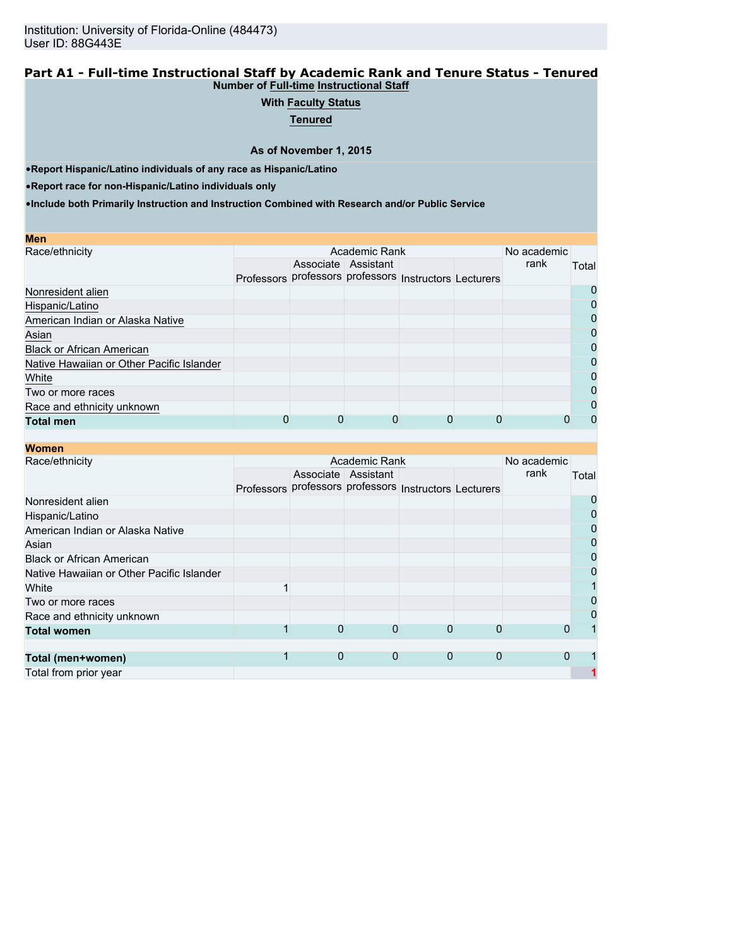#### **Part A1 - Full-time Instructional Staff by Academic Rank and Tenure Status - Tenured Number of Full-time Instructional Staff**

# **With Faculty Status**

**Tenured**

**As of November 1, 2015**

•**Report Hispanic/Latino individuals of any race as Hispanic/Latino**

•**Report race for non-Hispanic/Latino individuals only**

| <b>Men</b>                                |                                                        |                     |  |      |              |
|-------------------------------------------|--------------------------------------------------------|---------------------|--|------|--------------|
| Race/ethnicity                            |                                                        | No academic         |  |      |              |
|                                           |                                                        | Associate Assistant |  | rank | Total        |
|                                           | Professors professors professors Instructors Lecturers |                     |  |      |              |
| Nonresident alien                         |                                                        |                     |  |      | O            |
| Hispanic/Latino                           |                                                        |                     |  |      |              |
| American Indian or Alaska Native          |                                                        |                     |  |      | 0            |
| Asian                                     |                                                        |                     |  |      | 0            |
| <b>Black or African American</b>          |                                                        |                     |  |      | 0            |
| Native Hawaiian or Other Pacific Islander |                                                        |                     |  |      |              |
| White                                     |                                                        |                     |  |      | 0            |
| Two or more races                         |                                                        |                     |  |      | 0            |
| Race and ethnicity unknown                |                                                        |                     |  |      | $\mathbf{O}$ |
| <b>Total men</b>                          |                                                        |                     |  |      | 0            |

| Women |  |
|-------|--|
|-------|--|

| моніені                                   |  |                                                        |                     |   |   |          |                |
|-------------------------------------------|--|--------------------------------------------------------|---------------------|---|---|----------|----------------|
| Race/ethnicity                            |  | No academic                                            |                     |   |   |          |                |
|                                           |  |                                                        | Associate Assistant |   |   | rank     | Total          |
|                                           |  | Professors professors professors Instructors Lecturers |                     |   |   |          |                |
| Nonresident alien                         |  |                                                        |                     |   |   |          | 0              |
| Hispanic/Latino                           |  |                                                        |                     |   |   |          | 0              |
| American Indian or Alaska Native          |  |                                                        |                     |   |   |          | $\mathbf 0$    |
| Asian                                     |  |                                                        |                     |   |   |          | $\overline{0}$ |
| <b>Black or African American</b>          |  |                                                        |                     |   |   |          | $\overline{0}$ |
| Native Hawaiian or Other Pacific Islander |  |                                                        |                     |   |   |          | $\overline{0}$ |
| White                                     |  |                                                        |                     |   |   |          |                |
| Two or more races                         |  |                                                        |                     |   |   |          | $\mathbf 0$    |
| Race and ethnicity unknown                |  |                                                        |                     |   |   |          | $\mathbf 0$    |
| <b>Total women</b>                        |  | 0                                                      | 0                   | 0 | 0 | O        |                |
|                                           |  |                                                        |                     |   |   |          |                |
| Total (men+women)                         |  | 0                                                      | 0                   | 0 | 0 | $\Omega$ |                |
| Total from prior year                     |  |                                                        |                     |   |   |          |                |
|                                           |  |                                                        |                     |   |   |          |                |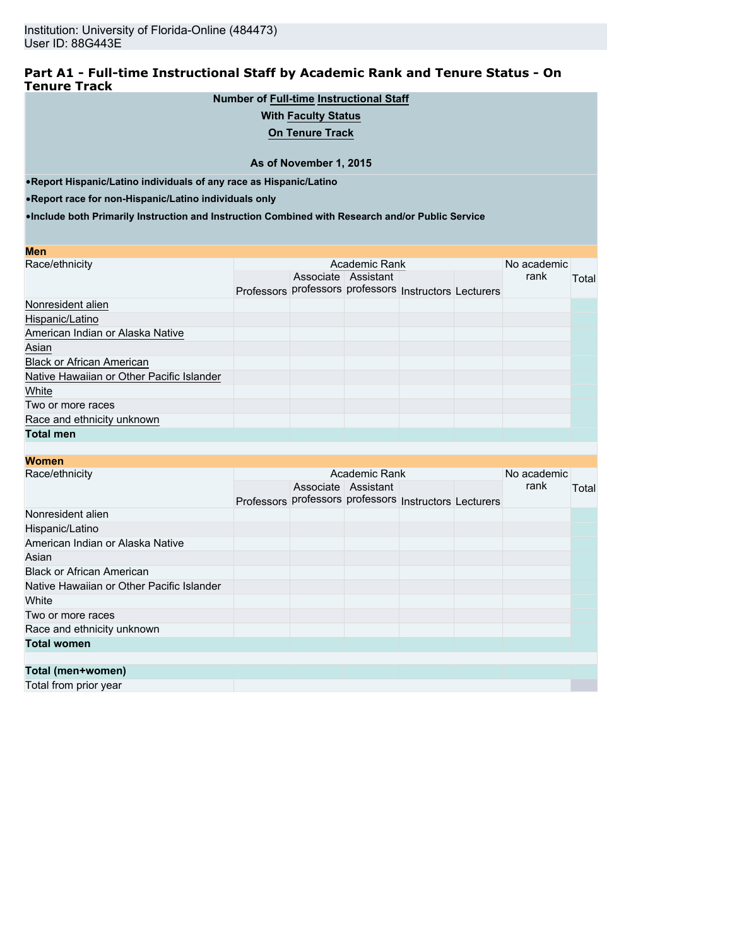### **Part A1 - Full-time Instructional Staff by Academic Rank and Tenure Status - On Tenure Track**

# **Number of Full-time Instructional Staff**

### **With Faculty Status**

**On Tenure Track**

#### **As of November 1, 2015**

•**Report Hispanic/Latino individuals of any race as Hispanic/Latino**

•**Report race for non-Hispanic/Latino individuals only**

| <b>Men</b>                                |  |                     |                                                        |  |      |       |
|-------------------------------------------|--|---------------------|--------------------------------------------------------|--|------|-------|
| Race/ethnicity                            |  | No academic         |                                                        |  |      |       |
|                                           |  | Associate Assistant | Professors professors professors Instructors Lecturers |  | rank | Total |
| Nonresident alien                         |  |                     |                                                        |  |      |       |
| Hispanic/Latino                           |  |                     |                                                        |  |      |       |
| American Indian or Alaska Native          |  |                     |                                                        |  |      |       |
| Asian                                     |  |                     |                                                        |  |      |       |
| <b>Black or African American</b>          |  |                     |                                                        |  |      |       |
| Native Hawaiian or Other Pacific Islander |  |                     |                                                        |  |      |       |
| White                                     |  |                     |                                                        |  |      |       |
| Two or more races                         |  |                     |                                                        |  |      |       |
| Race and ethnicity unknown                |  |                     |                                                        |  |      |       |
| <b>Total men</b>                          |  |                     |                                                        |  |      |       |

| <b>Women</b>                              |  |                     |                                                        |  |      |       |
|-------------------------------------------|--|---------------------|--------------------------------------------------------|--|------|-------|
| Race/ethnicity                            |  | No academic         |                                                        |  |      |       |
|                                           |  | Associate Assistant |                                                        |  | rank | Total |
|                                           |  |                     | Professors professors professors Instructors Lecturers |  |      |       |
| Nonresident alien                         |  |                     |                                                        |  |      |       |
| Hispanic/Latino                           |  |                     |                                                        |  |      |       |
| American Indian or Alaska Native          |  |                     |                                                        |  |      |       |
| Asian                                     |  |                     |                                                        |  |      |       |
| <b>Black or African American</b>          |  |                     |                                                        |  |      |       |
| Native Hawaiian or Other Pacific Islander |  |                     |                                                        |  |      |       |
| White                                     |  |                     |                                                        |  |      |       |
| Two or more races                         |  |                     |                                                        |  |      |       |
| Race and ethnicity unknown                |  |                     |                                                        |  |      |       |
| <b>Total women</b>                        |  |                     |                                                        |  |      |       |
|                                           |  |                     |                                                        |  |      |       |
| Total (men+women)                         |  |                     |                                                        |  |      |       |
| Total from prior year                     |  |                     |                                                        |  |      |       |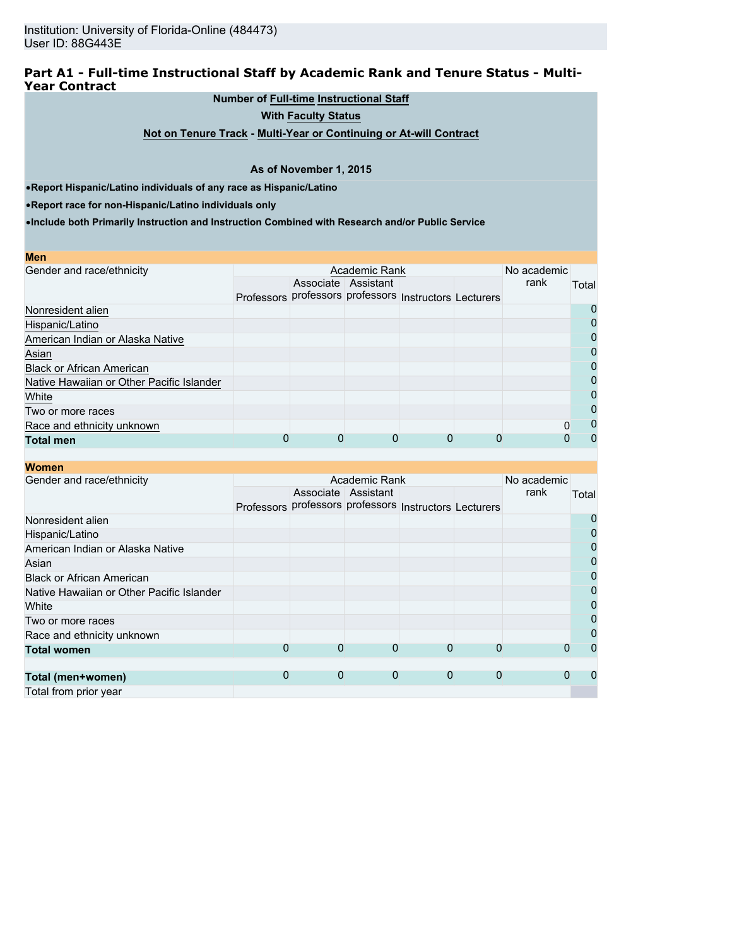### **Part A1 - Full-time Instructional Staff by Academic Rank and Tenure Status - Multi-Year Contract**

#### **Number of Full-time Instructional Staff**

**With Faculty Status**

**Not on Tenure Track - Multi-Year or Continuing or At-will Contract**

#### **As of November 1, 2015**

•**Report Hispanic/Latino individuals of any race as Hispanic/Latino**

•**Report race for non-Hispanic/Latino individuals only**

**Men**

**Women**

|  | No academic |                     |               |                                                             |              |
|--|-------------|---------------------|---------------|-------------------------------------------------------------|--------------|
|  |             |                     |               | rank                                                        | Total        |
|  |             |                     |               |                                                             |              |
|  |             |                     |               |                                                             | $\mathbf{O}$ |
|  |             |                     |               |                                                             | 0            |
|  |             |                     |               |                                                             | 0            |
|  |             |                     |               |                                                             |              |
|  |             |                     |               |                                                             | 0            |
|  |             |                     |               |                                                             | 0            |
|  |             |                     |               |                                                             | 0            |
|  |             |                     |               |                                                             | O            |
|  |             |                     |               | 0                                                           | O            |
|  | 0           |                     |               |                                                             | $\mathbf{I}$ |
|  |             | Associate Assistant | Academic Rank | Professors professors professors Instructors Lecturers<br>0 |              |

|  | No academic |                                                |                         |                                     |                                                             |
|--|-------------|------------------------------------------------|-------------------------|-------------------------------------|-------------------------------------------------------------|
|  |             |                                                |                         | rank                                | Total                                                       |
|  |             |                                                |                         |                                     |                                                             |
|  |             |                                                |                         |                                     | 0                                                           |
|  |             |                                                |                         |                                     | 0                                                           |
|  |             |                                                |                         |                                     | 0                                                           |
|  |             |                                                |                         |                                     | $\overline{0}$                                              |
|  |             |                                                |                         |                                     | $\overline{0}$                                              |
|  |             |                                                |                         |                                     | $\overline{0}$                                              |
|  |             |                                                |                         |                                     | 0                                                           |
|  |             |                                                |                         |                                     | $\overline{0}$                                              |
|  |             |                                                |                         |                                     | 0                                                           |
|  |             |                                                |                         |                                     | $\Omega$                                                    |
|  |             |                                                |                         |                                     |                                                             |
|  |             |                                                |                         |                                     | 0                                                           |
|  |             |                                                |                         |                                     |                                                             |
|  | 0<br>0      | Associate Assistant<br>$\Omega$<br>$\mathbf 0$ | Academic Rank<br>0<br>0 | $\Omega$<br>$\Omega$<br>$\mathbf 0$ | Professors professors professors Instructors Lecturers<br>0 |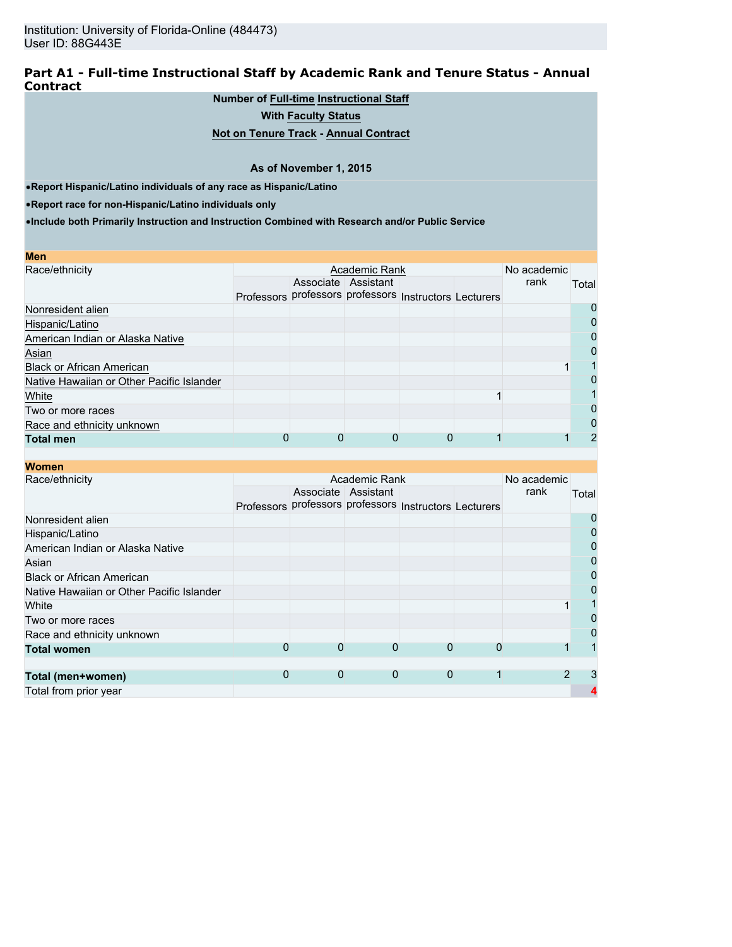#### **Part A1 - Full-time Instructional Staff by Academic Rank and Tenure Status - Annual Contract**

### **Number of Full-time Instructional Staff**

**With Faculty Status**

### **Not on Tenure Track - Annual Contract**

#### **As of November 1, 2015**

•**Report Hispanic/Latino individuals of any race as Hispanic/Latino**

•**Report race for non-Hispanic/Latino individuals only**

| Men                                       |                                                        |                     |  |      |       |
|-------------------------------------------|--------------------------------------------------------|---------------------|--|------|-------|
| Race/ethnicity                            |                                                        | No academic         |  |      |       |
|                                           |                                                        | Associate Assistant |  | rank | Total |
|                                           | Professors professors professors Instructors Lecturers |                     |  |      |       |
| Nonresident alien                         |                                                        |                     |  |      | O     |
| Hispanic/Latino                           |                                                        |                     |  |      |       |
| American Indian or Alaska Native          |                                                        |                     |  |      | 0     |
| Asian                                     |                                                        |                     |  |      | 0     |
| <b>Black or African American</b>          |                                                        |                     |  |      |       |
| Native Hawaiian or Other Pacific Islander |                                                        |                     |  |      |       |
| White                                     |                                                        |                     |  |      |       |
| Two or more races                         |                                                        |                     |  |      | 0     |
| Race and ethnicity unknown                |                                                        |                     |  |      | 0     |
| <b>Total men</b>                          |                                                        |                     |  |      | 2     |

| <b>Women</b>                              |                                                        |             |                     |             |  |      |       |
|-------------------------------------------|--------------------------------------------------------|-------------|---------------------|-------------|--|------|-------|
| Race/ethnicity                            |                                                        | No academic |                     |             |  |      |       |
|                                           |                                                        |             | Associate Assistant |             |  | rank | Total |
|                                           | Professors professors professors Instructors Lecturers |             |                     |             |  |      |       |
| Nonresident alien                         |                                                        |             |                     |             |  |      | 0     |
| Hispanic/Latino                           |                                                        |             |                     |             |  |      | 0     |
| American Indian or Alaska Native          |                                                        |             |                     |             |  |      | 0     |
| Asian                                     |                                                        |             |                     |             |  |      | 0     |
| <b>Black or African American</b>          |                                                        |             |                     |             |  |      | 0     |
| Native Hawaiian or Other Pacific Islander |                                                        |             |                     |             |  |      | 0     |
| White                                     |                                                        |             |                     |             |  |      |       |
| Two or more races                         |                                                        |             |                     |             |  |      | 0     |
| Race and ethnicity unknown                |                                                        |             |                     |             |  |      | 0     |
| <b>Total women</b>                        | 0                                                      | 0           | 0                   | 0           |  |      |       |
|                                           |                                                        |             |                     |             |  |      |       |
| Total (men+women)                         | 0                                                      | 0           | $\mathbf 0$         | $\mathbf 0$ |  |      | 3     |
| Total from prior year                     |                                                        |             |                     |             |  |      |       |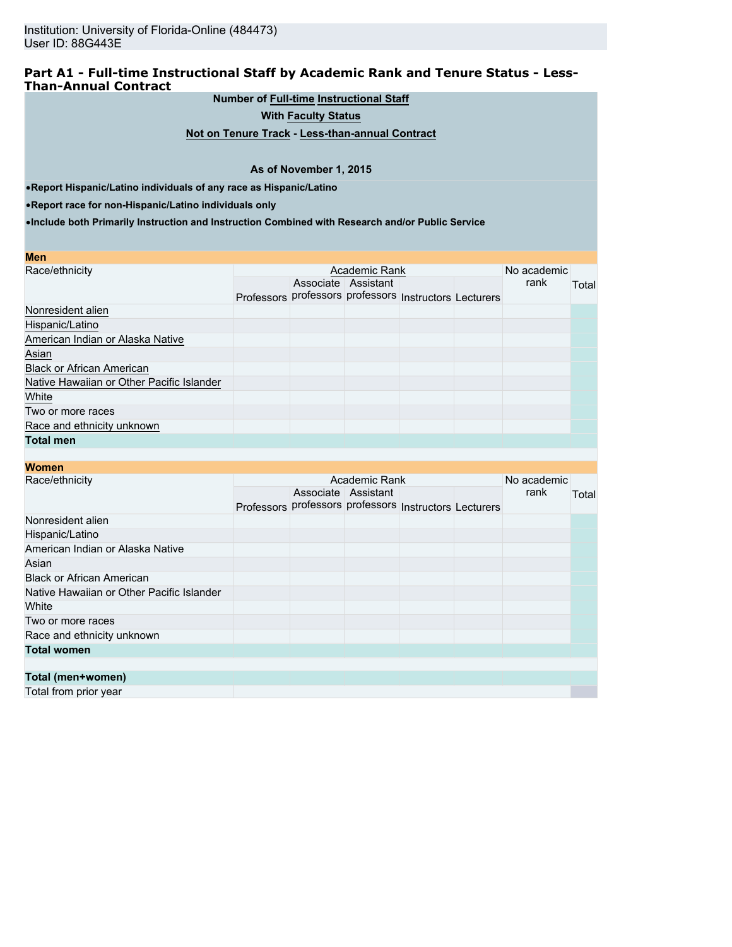### **Part A1 - Full-time Instructional Staff by Academic Rank and Tenure Status - Less-Than-Annual Contract**

**Number of Full-time Instructional Staff**

**With Faculty Status**

**Not on Tenure Track - Less-than-annual Contract**

#### **As of November 1, 2015**

•**Report Hispanic/Latino individuals of any race as Hispanic/Latino**

•**Report race for non-Hispanic/Latino individuals only**

| <b>Men</b>                                |                                                        |                     |  |      |       |  |
|-------------------------------------------|--------------------------------------------------------|---------------------|--|------|-------|--|
| Race/ethnicity                            |                                                        | No academic         |  |      |       |  |
|                                           |                                                        | Associate Assistant |  | rank | Total |  |
|                                           | Professors professors professors Instructors Lecturers |                     |  |      |       |  |
| Nonresident alien                         |                                                        |                     |  |      |       |  |
| Hispanic/Latino                           |                                                        |                     |  |      |       |  |
| American Indian or Alaska Native          |                                                        |                     |  |      |       |  |
| Asian                                     |                                                        |                     |  |      |       |  |
| <b>Black or African American</b>          |                                                        |                     |  |      |       |  |
| Native Hawaiian or Other Pacific Islander |                                                        |                     |  |      |       |  |
| White                                     |                                                        |                     |  |      |       |  |
| Two or more races                         |                                                        |                     |  |      |       |  |
| Race and ethnicity unknown                |                                                        |                     |  |      |       |  |
| <b>Total men</b>                          |                                                        |                     |  |      |       |  |
|                                           |                                                        |                     |  |      |       |  |

| <b>Women</b>                              |                                                        |                     |  |      |       |
|-------------------------------------------|--------------------------------------------------------|---------------------|--|------|-------|
| Race/ethnicity                            |                                                        | No academic         |  |      |       |
|                                           |                                                        | Associate Assistant |  | rank | Total |
|                                           | Professors professors professors Instructors Lecturers |                     |  |      |       |
| Nonresident alien                         |                                                        |                     |  |      |       |
| Hispanic/Latino                           |                                                        |                     |  |      |       |
| American Indian or Alaska Native          |                                                        |                     |  |      |       |
| Asian                                     |                                                        |                     |  |      |       |
| <b>Black or African American</b>          |                                                        |                     |  |      |       |
| Native Hawaiian or Other Pacific Islander |                                                        |                     |  |      |       |
| White                                     |                                                        |                     |  |      |       |
| Two or more races                         |                                                        |                     |  |      |       |
| Race and ethnicity unknown                |                                                        |                     |  |      |       |
| <b>Total women</b>                        |                                                        |                     |  |      |       |
|                                           |                                                        |                     |  |      |       |
| Total (men+women)                         |                                                        |                     |  |      |       |
| Total from prior year                     |                                                        |                     |  |      |       |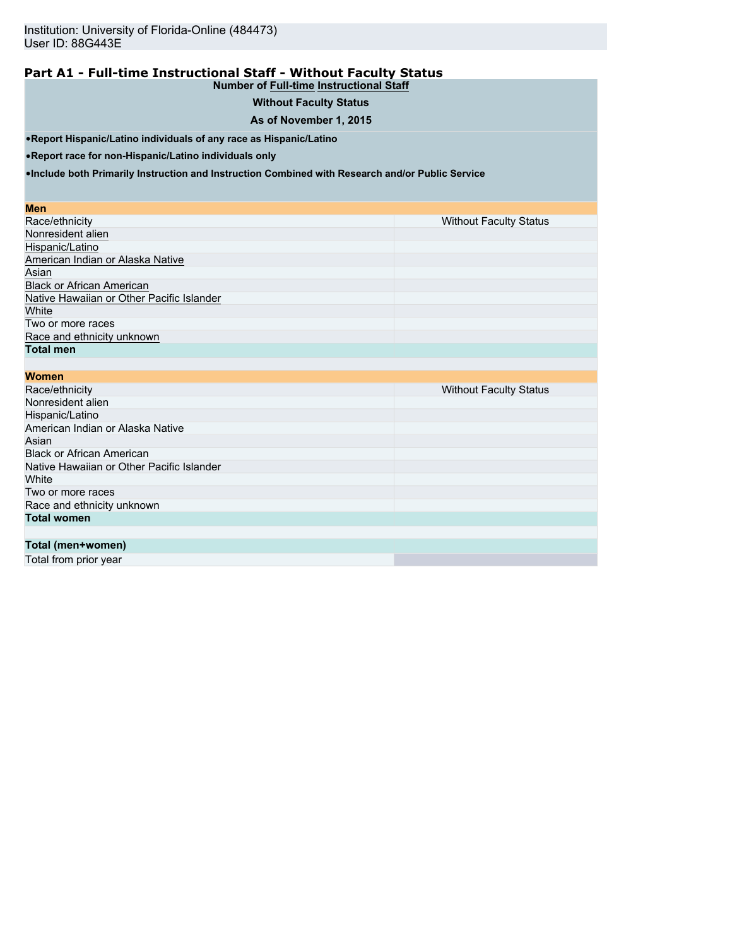# **Part A1 - Full-time Instructional Staff - Without Faculty Status**

# **Number of Full-time Instructional Staff**

# **Without Faculty Status**

## **As of November 1, 2015**

•**Report Hispanic/Latino individuals of any race as Hispanic/Latino**

•**Report race for non-Hispanic/Latino individuals only**

•**Include both Primarily Instruction and Instruction Combined with Research and/or Public Service**

#### **Men**

| Race/ethnicity                            | <b>Without Faculty Status</b> |
|-------------------------------------------|-------------------------------|
| Nonresident alien                         |                               |
| Hispanic/Latino                           |                               |
| American Indian or Alaska Native          |                               |
| Asian                                     |                               |
| <b>Black or African American</b>          |                               |
| Native Hawaiian or Other Pacific Islander |                               |
| White                                     |                               |
| Two or more races                         |                               |
| Race and ethnicity unknown                |                               |
| <b>Total men</b>                          |                               |

| <b>Women</b>                              |                               |
|-------------------------------------------|-------------------------------|
| Race/ethnicity                            | <b>Without Faculty Status</b> |
| Nonresident alien                         |                               |
| Hispanic/Latino                           |                               |
| American Indian or Alaska Native          |                               |
| Asian                                     |                               |
| <b>Black or African American</b>          |                               |
| Native Hawaiian or Other Pacific Islander |                               |
| White                                     |                               |
| Two or more races                         |                               |
| Race and ethnicity unknown                |                               |
| <b>Total women</b>                        |                               |
|                                           |                               |
| Total (men+women)                         |                               |
| Total from prior year                     |                               |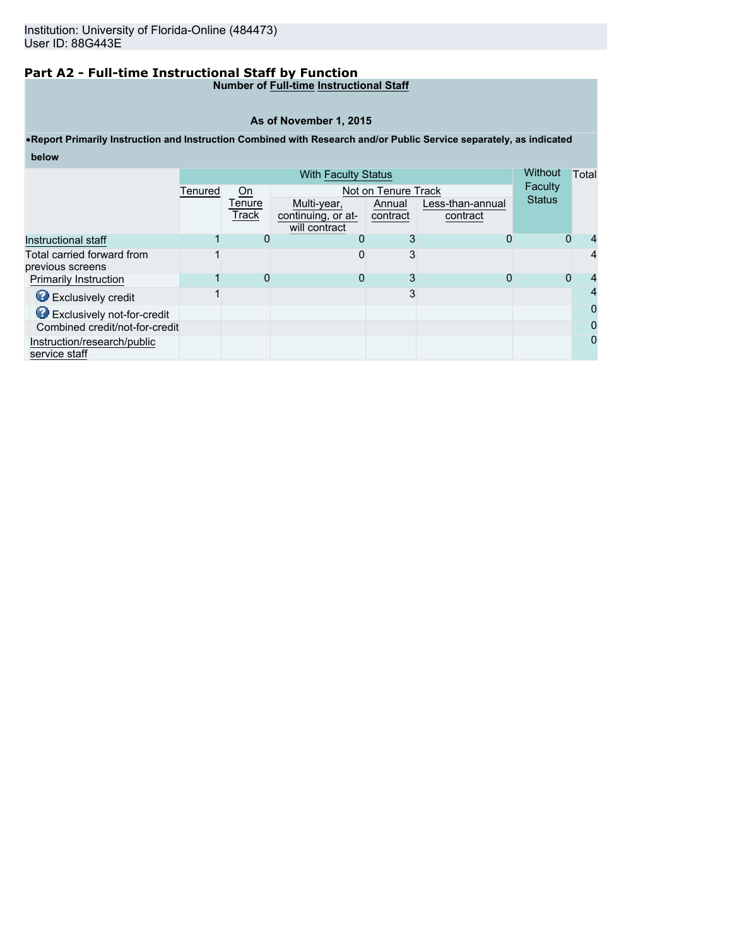# **Part A2 - Full-time Instructional Staff by Function**

#### **Number of Full-time Instructional Staff**

#### **As of November 1, 2015**

# •**Report Primarily Instruction and Instruction Combined with Research and/or Public Service separately, as indicated below**

|                                              | <b>With Faculty Status</b> |                 |                                                    |                     |                              | <b>Without</b> | Total         |
|----------------------------------------------|----------------------------|-----------------|----------------------------------------------------|---------------------|------------------------------|----------------|---------------|
|                                              | Tenured                    | On              |                                                    | Not on Tenure Track | Faculty                      |                |               |
|                                              |                            | Tenure<br>Track | Multi-year,<br>continuing, or at-<br>will contract | Annual<br>contract  | Less-than-annual<br>contract | <b>Status</b>  |               |
| Instructional staff                          |                            | 0               | $\Omega$                                           | 3                   | 0                            |                | 0             |
| Total carried forward from                   |                            |                 | 0                                                  | 3                   |                              |                | 4             |
| previous screens                             |                            |                 |                                                    |                     |                              |                |               |
| <b>Primarily Instruction</b>                 |                            | 0               | Ω                                                  | 3                   |                              |                | $\Omega$<br>4 |
| <b>B</b> Exclusively credit                  |                            |                 |                                                    | 3                   |                              |                | 4             |
| <b>O</b> Exclusively not-for-credit          |                            |                 |                                                    |                     |                              |                | 0             |
| Combined credit/not-for-credit               |                            |                 |                                                    |                     |                              |                | 0             |
| Instruction/research/public<br>service staff |                            |                 |                                                    |                     |                              |                | 0             |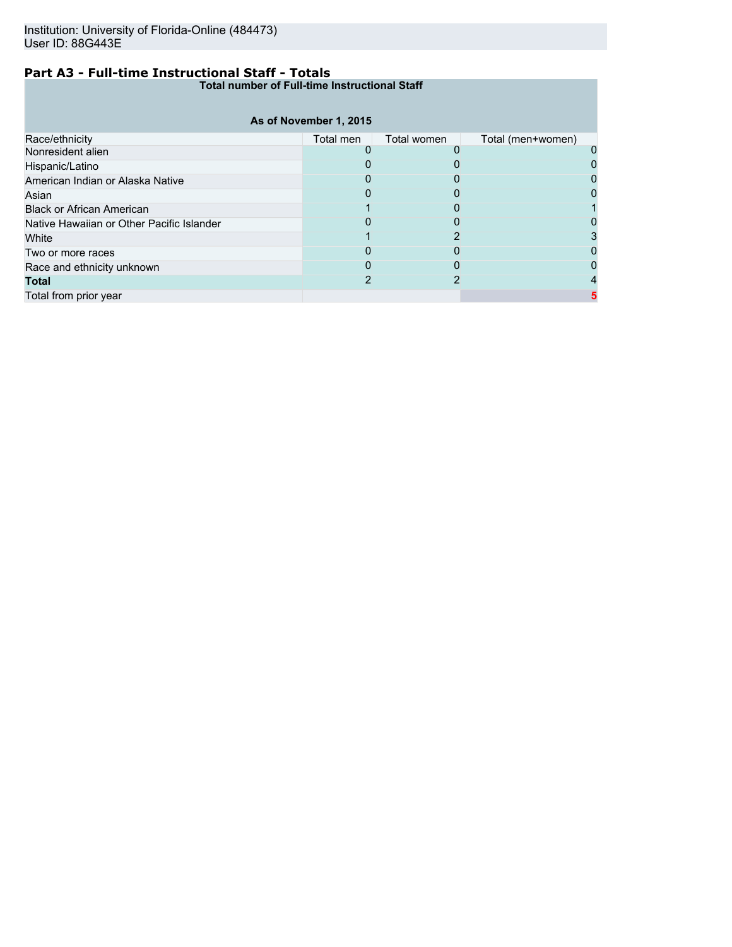# **Part A3 - Full-time Instructional Staff - Totals**

**Total number of Full-time Instructional Staff**

|                                           | As of November 1, 2015 |             |                   |  |
|-------------------------------------------|------------------------|-------------|-------------------|--|
| Race/ethnicity                            | Total men              | Total women | Total (men+women) |  |
| Nonresident alien                         |                        |             |                   |  |
| Hispanic/Latino                           |                        |             |                   |  |
| American Indian or Alaska Native          |                        |             |                   |  |
| Asian                                     |                        |             |                   |  |
| <b>Black or African American</b>          |                        |             |                   |  |
| Native Hawaiian or Other Pacific Islander |                        |             |                   |  |
| White                                     |                        |             |                   |  |
| Two or more races                         |                        |             |                   |  |
| Race and ethnicity unknown                |                        |             |                   |  |
| <b>Total</b>                              |                        |             |                   |  |
| Total from prior year                     |                        |             |                   |  |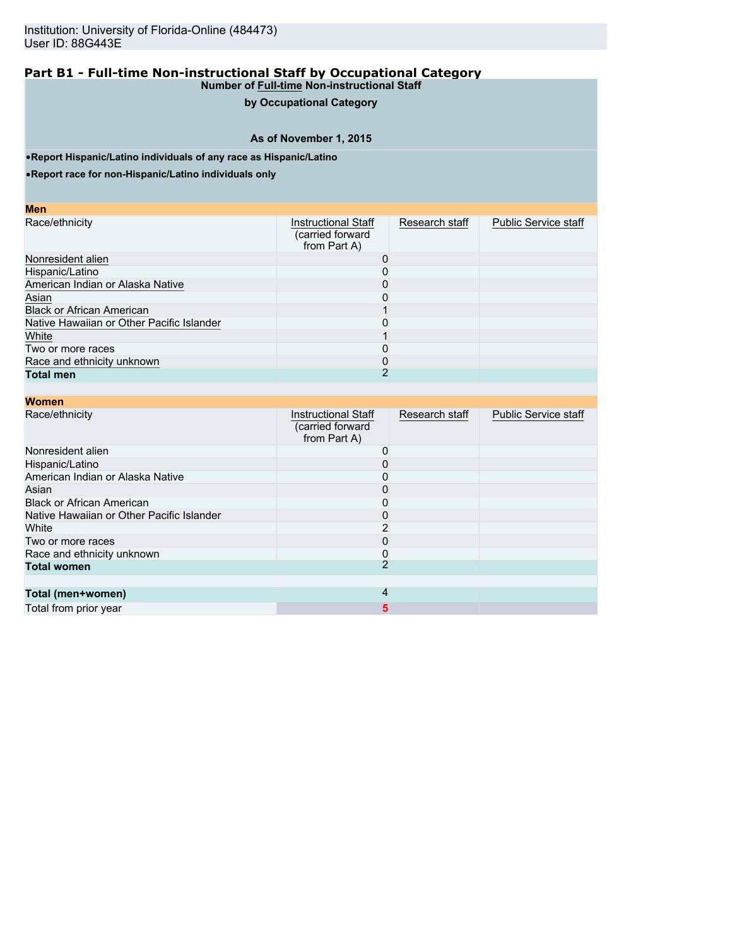## **by Occupational Category**

# **As of November 1, 2015**

•**Report Hispanic/Latino individuals of any race as Hispanic/Latino**

•**Report race for non-Hispanic/Latino individuals only**

| Me | ı<br>۰ |  |
|----|--------|--|

| Race/ethnicity                            | <b>Instructional Staff</b><br>(carried forward<br>from Part A) | Research staff | <b>Public Service staff</b> |
|-------------------------------------------|----------------------------------------------------------------|----------------|-----------------------------|
| Nonresident alien                         |                                                                |                |                             |
| Hispanic/Latino                           |                                                                |                |                             |
| American Indian or Alaska Native          |                                                                |                |                             |
| Asian                                     |                                                                |                |                             |
| <b>Black or African American</b>          |                                                                |                |                             |
| Native Hawaiian or Other Pacific Islander |                                                                |                |                             |
| White                                     |                                                                |                |                             |
| Two or more races                         |                                                                |                |                             |
| Race and ethnicity unknown                |                                                                |                |                             |
| <b>Total men</b>                          |                                                                |                |                             |

| <b>Women</b>                              |                                                                |                |                             |
|-------------------------------------------|----------------------------------------------------------------|----------------|-----------------------------|
| Race/ethnicity                            | <b>Instructional Staff</b><br>(carried forward<br>from Part A) | Research staff | <b>Public Service staff</b> |
| Nonresident alien                         |                                                                |                |                             |
| Hispanic/Latino                           |                                                                |                |                             |
| American Indian or Alaska Native          |                                                                |                |                             |
| Asian                                     | 0                                                              |                |                             |
| <b>Black or African American</b>          |                                                                |                |                             |
| Native Hawaiian or Other Pacific Islander |                                                                |                |                             |
| White                                     |                                                                |                |                             |
| Two or more races                         |                                                                |                |                             |
| Race and ethnicity unknown                | 0                                                              |                |                             |
| <b>Total women</b>                        |                                                                |                |                             |
|                                           |                                                                |                |                             |
| Total (men+women)                         | 4                                                              |                |                             |
| Total from prior year                     | 5                                                              |                |                             |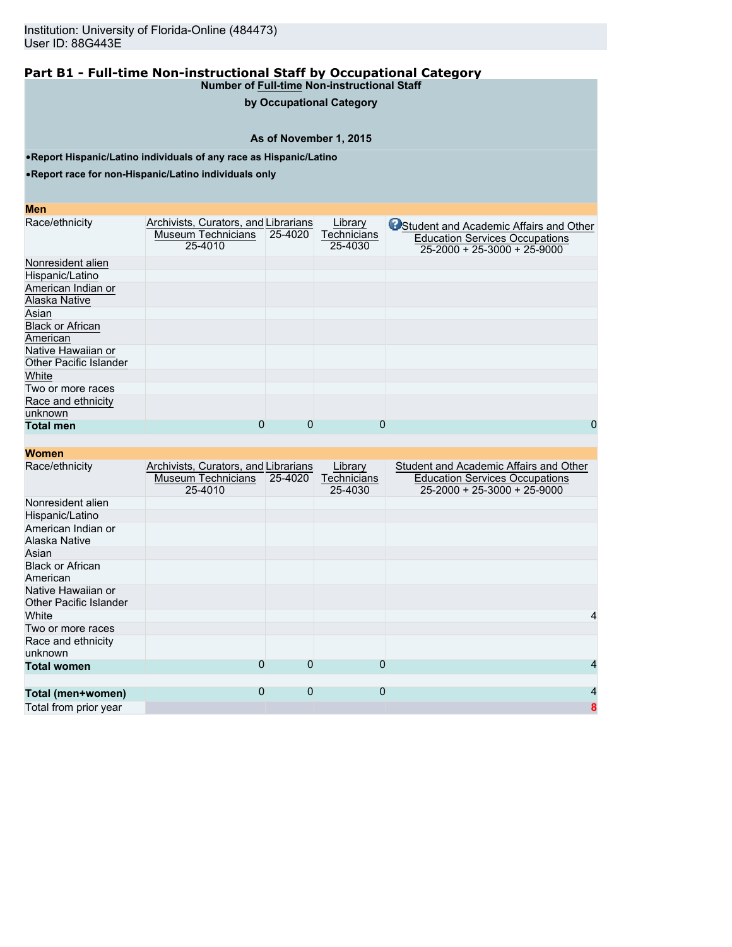# **by Occupational Category**

# **As of November 1, 2015**

•**Report Hispanic/Latino individuals of any race as Hispanic/Latino**

•**Report race for non-Hispanic/Latino individuals only**

#### **Men**

| Race/ethnicity                | Archivists, Curators, and Librarians |         | Library            | Student and Academic Affairs and Other |
|-------------------------------|--------------------------------------|---------|--------------------|----------------------------------------|
|                               | <b>Museum Technicians</b>            | 25-4020 | <b>Technicians</b> | <b>Education Services Occupations</b>  |
|                               | 25-4010                              |         | 25-4030            | $25-2000 + 25-3000 + 25-9000$          |
| Nonresident alien             |                                      |         |                    |                                        |
| Hispanic/Latino               |                                      |         |                    |                                        |
| American Indian or            |                                      |         |                    |                                        |
| Alaska Native                 |                                      |         |                    |                                        |
| Asian                         |                                      |         |                    |                                        |
| <b>Black or African</b>       |                                      |         |                    |                                        |
| American                      |                                      |         |                    |                                        |
| Native Hawaiian or            |                                      |         |                    |                                        |
| <b>Other Pacific Islander</b> |                                      |         |                    |                                        |
| White                         |                                      |         |                    |                                        |
| Two or more races             |                                      |         |                    |                                        |
| Race and ethnicity            |                                      |         |                    |                                        |
| unknown                       |                                      |         |                    |                                        |
| <b>Total men</b>              | 0                                    | 0       | $\Omega$           | 0                                      |

| <b>Women</b>                                        |                                                                       |          |                                   |                                                                                                                        |
|-----------------------------------------------------|-----------------------------------------------------------------------|----------|-----------------------------------|------------------------------------------------------------------------------------------------------------------------|
| Race/ethnicity                                      | Archivists, Curators, and Librarians<br>Museum Technicians<br>25-4010 | 25-4020  | Library<br>Technicians<br>25-4030 | Student and Academic Affairs and Other<br><b>Education Services Occupations</b><br>$25 - 2000 + 25 - 3000 + 25 - 9000$ |
| Nonresident alien                                   |                                                                       |          |                                   |                                                                                                                        |
| Hispanic/Latino                                     |                                                                       |          |                                   |                                                                                                                        |
| American Indian or<br>Alaska Native                 |                                                                       |          |                                   |                                                                                                                        |
| Asian                                               |                                                                       |          |                                   |                                                                                                                        |
| <b>Black or African</b><br>American                 |                                                                       |          |                                   |                                                                                                                        |
| Native Hawaiian or<br><b>Other Pacific Islander</b> |                                                                       |          |                                   |                                                                                                                        |
| White                                               |                                                                       |          |                                   | 4                                                                                                                      |
| Two or more races                                   |                                                                       |          |                                   |                                                                                                                        |
| Race and ethnicity<br>unknown                       |                                                                       |          |                                   |                                                                                                                        |
| <b>Total women</b>                                  | 0                                                                     | $\Omega$ | 0                                 |                                                                                                                        |
|                                                     |                                                                       |          |                                   |                                                                                                                        |
| Total (men+women)                                   | 0                                                                     | $\Omega$ | $\Omega$                          | 4                                                                                                                      |
| Total from prior year                               |                                                                       |          |                                   | 8                                                                                                                      |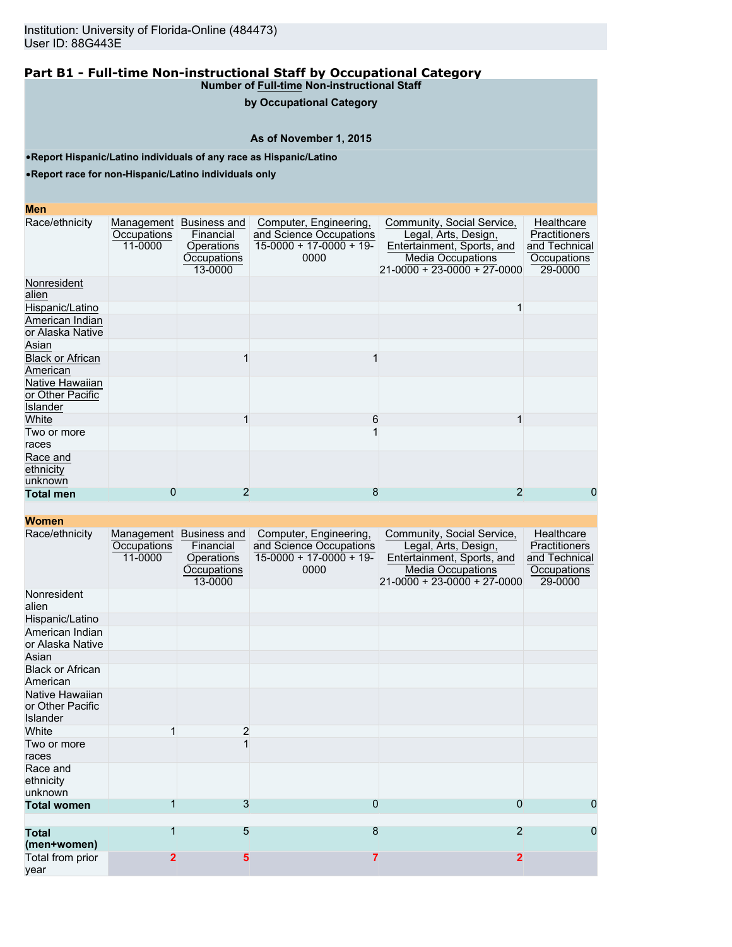## **by Occupational Category**

### **As of November 1, 2015**

•**Report Hispanic/Latino individuals of any race as Hispanic/Latino**

•**Report race for non-Hispanic/Latino individuals only**

#### **Men**

| Race/ethnicity                                  | Management<br>Occupations<br>11-0000 | Business and<br>Financial<br>Operations<br>Occupations<br>13-0000 | Computer, Engineering,<br>and Science Occupations<br>$15-0000 + 17-0000 + 19$<br>0000 | Community, Social Service,<br>Legal, Arts, Design,<br>Entertainment, Sports, and<br><b>Media Occupations</b><br>$21 - 0000 + 23 - 0000 + 27 - 0000$ | Healthcare<br><b>Practitioners</b><br>and Technical<br>Occupations<br>29-0000 |
|-------------------------------------------------|--------------------------------------|-------------------------------------------------------------------|---------------------------------------------------------------------------------------|-----------------------------------------------------------------------------------------------------------------------------------------------------|-------------------------------------------------------------------------------|
| Nonresident<br>alien                            |                                      |                                                                   |                                                                                       |                                                                                                                                                     |                                                                               |
| Hispanic/Latino                                 |                                      |                                                                   |                                                                                       |                                                                                                                                                     |                                                                               |
| American Indian<br>or Alaska Native             |                                      |                                                                   |                                                                                       |                                                                                                                                                     |                                                                               |
| Asian                                           |                                      |                                                                   |                                                                                       |                                                                                                                                                     |                                                                               |
| <b>Black or African</b><br>American             |                                      |                                                                   |                                                                                       |                                                                                                                                                     |                                                                               |
| Native Hawaiian<br>or Other Pacific<br>Islander |                                      |                                                                   |                                                                                       |                                                                                                                                                     |                                                                               |
| White                                           |                                      |                                                                   | 6                                                                                     |                                                                                                                                                     |                                                                               |
| Two or more<br>races                            |                                      |                                                                   |                                                                                       |                                                                                                                                                     |                                                                               |
| Race and<br>ethnicity<br>unknown                |                                      |                                                                   |                                                                                       |                                                                                                                                                     |                                                                               |
| <b>Total men</b>                                | 0                                    | 2                                                                 | 8                                                                                     |                                                                                                                                                     | 0                                                                             |

| Race/ethnicity                                  | Management<br>Occupations<br>11-0000 | Business and<br>Financial<br>Operations<br>Occupations<br>13-0000 | Computer, Engineering,<br>and Science Occupations<br>$15-0000 + 17-0000 + 19$<br>0000 | Community, Social Service,<br>Legal, Arts, Design,<br>Entertainment, Sports, and<br><b>Media Occupations</b><br>$21-0000 + 23-0000 + 27-0000$ | Healthcare<br>Practitioners<br>and Technical<br>Occupations<br>29-0000 |
|-------------------------------------------------|--------------------------------------|-------------------------------------------------------------------|---------------------------------------------------------------------------------------|-----------------------------------------------------------------------------------------------------------------------------------------------|------------------------------------------------------------------------|
| Nonresident<br>alien                            |                                      |                                                                   |                                                                                       |                                                                                                                                               |                                                                        |
| Hispanic/Latino                                 |                                      |                                                                   |                                                                                       |                                                                                                                                               |                                                                        |
| American Indian<br>or Alaska Native             |                                      |                                                                   |                                                                                       |                                                                                                                                               |                                                                        |
| Asian                                           |                                      |                                                                   |                                                                                       |                                                                                                                                               |                                                                        |
| <b>Black or African</b><br>American             |                                      |                                                                   |                                                                                       |                                                                                                                                               |                                                                        |
| Native Hawaiian<br>or Other Pacific<br>Islander |                                      |                                                                   |                                                                                       |                                                                                                                                               |                                                                        |
| White                                           |                                      | 2                                                                 |                                                                                       |                                                                                                                                               |                                                                        |
| Two or more<br>races                            |                                      |                                                                   |                                                                                       |                                                                                                                                               |                                                                        |
| Race and<br>ethnicity<br>unknown                |                                      |                                                                   |                                                                                       |                                                                                                                                               |                                                                        |
| <b>Total women</b>                              |                                      | 3                                                                 | 0                                                                                     | 0                                                                                                                                             | 0                                                                      |
| <b>Total</b><br>(men+women)                     | 1                                    | 5                                                                 | 8                                                                                     | $\overline{2}$                                                                                                                                | 0                                                                      |
| Total from prior<br>year                        | $\mathbf 2$                          | 5                                                                 |                                                                                       | $\overline{2}$                                                                                                                                |                                                                        |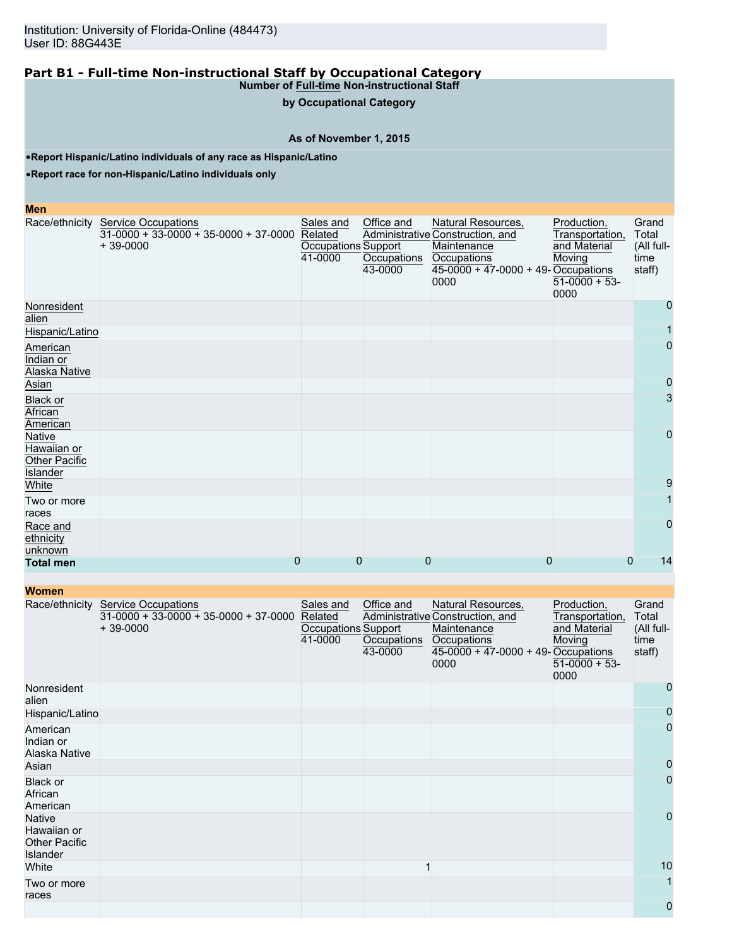**by Occupational Category**

#### **As of November 1, 2015**

•**Report Hispanic/Latino individuals of any race as Hispanic/Latino**

•**Report race for non-Hispanic/Latino individuals only**

#### **Men**

|                                                           | Race/ethnicity Service Occupations<br>$31-0000 + 33-0000 + 35-0000 + 37-0000$<br>$+39-0000$ | Sales and<br>Related<br>Occupations Support<br>41-0000 | Office and<br>Occupations<br>43-0000 | Natural Resources,<br>Administrative Construction, and<br>Maintenance<br>Occupations<br>$45-0000 + 47-0000 + 49$ -Occupations<br>0000 | Production,<br>Transportation,<br>and Material<br>Moving<br>$51-0000 + 53$<br>0000 | Grand<br>Total<br>(All full-<br>time<br>staff) |
|-----------------------------------------------------------|---------------------------------------------------------------------------------------------|--------------------------------------------------------|--------------------------------------|---------------------------------------------------------------------------------------------------------------------------------------|------------------------------------------------------------------------------------|------------------------------------------------|
| Nonresident<br>alien                                      |                                                                                             |                                                        |                                      |                                                                                                                                       |                                                                                    | $\Omega$                                       |
| Hispanic/Latino                                           |                                                                                             |                                                        |                                      |                                                                                                                                       |                                                                                    |                                                |
| American<br>Indian or<br>Alaska Native                    |                                                                                             |                                                        |                                      |                                                                                                                                       |                                                                                    | $\overline{0}$                                 |
| Asian                                                     |                                                                                             |                                                        |                                      |                                                                                                                                       |                                                                                    | 0                                              |
| <b>Black or</b><br>African<br>American                    |                                                                                             |                                                        |                                      |                                                                                                                                       |                                                                                    | 3                                              |
| Native<br>Hawaiian or<br><b>Other Pacific</b><br>Islander |                                                                                             |                                                        |                                      |                                                                                                                                       |                                                                                    | $\overline{0}$                                 |
| White                                                     |                                                                                             |                                                        |                                      |                                                                                                                                       |                                                                                    | 9                                              |
| Two or more<br>races                                      |                                                                                             |                                                        |                                      |                                                                                                                                       |                                                                                    |                                                |
| Race and<br>ethnicity<br>unknown                          |                                                                                             |                                                        |                                      |                                                                                                                                       |                                                                                    | $\Omega$                                       |
| <b>Total men</b>                                          | 0                                                                                           | 0                                                      | $\overline{0}$                       | 0                                                                                                                                     | $\overline{0}$                                                                     | 14                                             |

**Women** Race/ethnicity Service Occupations  $31-0000 + 33-0000 + 35-0000 + 37-0000$ + 39-0000 Sales and Related Occupations Support 41-0000 Office and Administrative Construction, and **Occupations** 43-0000 Natural Resources, **Maintenance Occupations** 45-0000 + 47-0000 + 49- Occupations 0000 Production, Transportation, and Material **Moving**  $51-0000 + 53$ 0000 **Grand** Total (All fulltime staff) Nonresident alien 0 Hispanic/Latino 0 American Indian or Alaska Native 0 Asian and the company of the company of the company of the company of the company of the company of the company 0 Black or African American 0 **Native** Hawaiian or Other Pacific Islander<br>White 0 White 1 10 Two or more races 1 0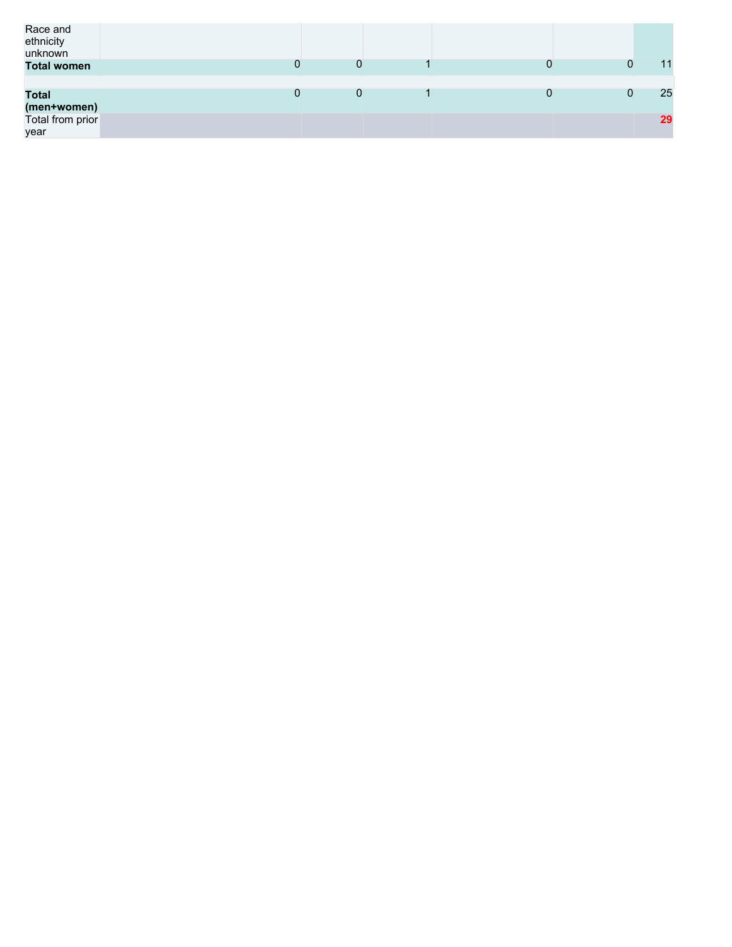| Race and<br>ethnicity<br>unknown                        |   |   |          |
|---------------------------------------------------------|---|---|----------|
| <b>Total women</b>                                      | 0 | 0 | 11       |
| <b>Total</b><br>(men+women)<br>Total from prior<br>year | 0 | 0 | 25<br>29 |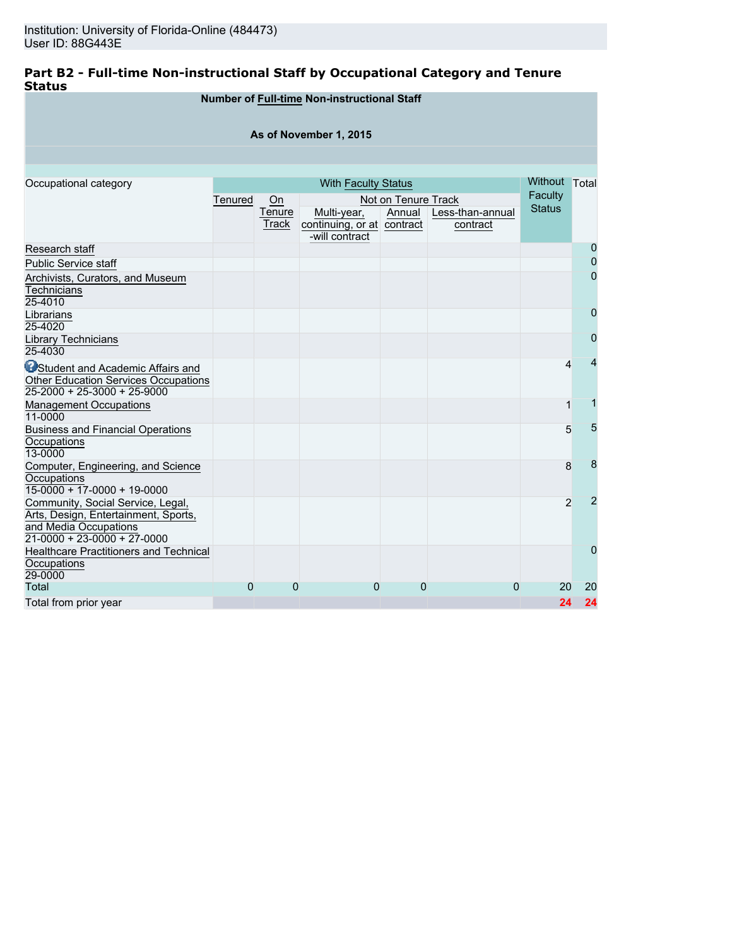## **Part B2 - Full-time Non-instructional Staff by Occupational Category and Tenure Status**

|                                                                                                                                     |         |                 | <b>Number of Full-time Non-instructional Staff</b>          |                     |                              |               |                |
|-------------------------------------------------------------------------------------------------------------------------------------|---------|-----------------|-------------------------------------------------------------|---------------------|------------------------------|---------------|----------------|
|                                                                                                                                     |         |                 | As of November 1, 2015                                      |                     |                              |               |                |
|                                                                                                                                     |         |                 |                                                             |                     |                              |               |                |
| Occupational category                                                                                                               |         |                 | <b>With Faculty Status</b>                                  |                     |                              | Without Total |                |
|                                                                                                                                     | Tenured | On              |                                                             | Not on Tenure Track |                              | Faculty       |                |
|                                                                                                                                     |         | Tenure<br>Track | Multi-year,<br>continuing, or at contract<br>-will contract | Annual              | Less-than-annual<br>contract | <b>Status</b> |                |
| Research staff                                                                                                                      |         |                 |                                                             |                     |                              |               | 0              |
| <b>Public Service staff</b>                                                                                                         |         |                 |                                                             |                     |                              |               | 0              |
| Archivists, Curators, and Museum<br><b>Technicians</b><br>25-4010                                                                   |         |                 |                                                             |                     |                              |               | $\mathbf{0}$   |
| Librarians<br>25-4020                                                                                                               |         |                 |                                                             |                     |                              |               | 0              |
| Library Technicians<br>25-4030                                                                                                      |         |                 |                                                             |                     |                              |               | 0              |
| <b>OStudent and Academic Affairs and</b><br><b>Other Education Services Occupations</b><br>$25-2000 + 25-3000 + 25-9000$            |         |                 |                                                             |                     |                              | 4             | 4              |
| <b>Management Occupations</b><br>11-0000                                                                                            |         |                 |                                                             |                     |                              | 1             | 1              |
| <b>Business and Financial Operations</b><br>Occupations<br>13-0000                                                                  |         |                 |                                                             |                     |                              | 5             | 5              |
| Computer, Engineering, and Science<br>Occupations<br>$15-0000 + 17-0000 + 19-0000$                                                  |         |                 |                                                             |                     |                              | 8             | 8              |
| Community, Social Service, Legal,<br>Arts, Design, Entertainment, Sports,<br>and Media Occupations<br>$21-0000 + 23-0000 + 27-0000$ |         |                 |                                                             |                     |                              | 2             | $\overline{2}$ |
| Healthcare Practitioners and Technical<br>Occupations<br>29-0000                                                                    |         |                 |                                                             |                     |                              |               | 0              |
| <b>Total</b>                                                                                                                        | 0       | 0               | 0                                                           | 0                   | 0                            | 20            | 20             |
| Total from prior year                                                                                                               |         |                 |                                                             |                     |                              | 24            | 24             |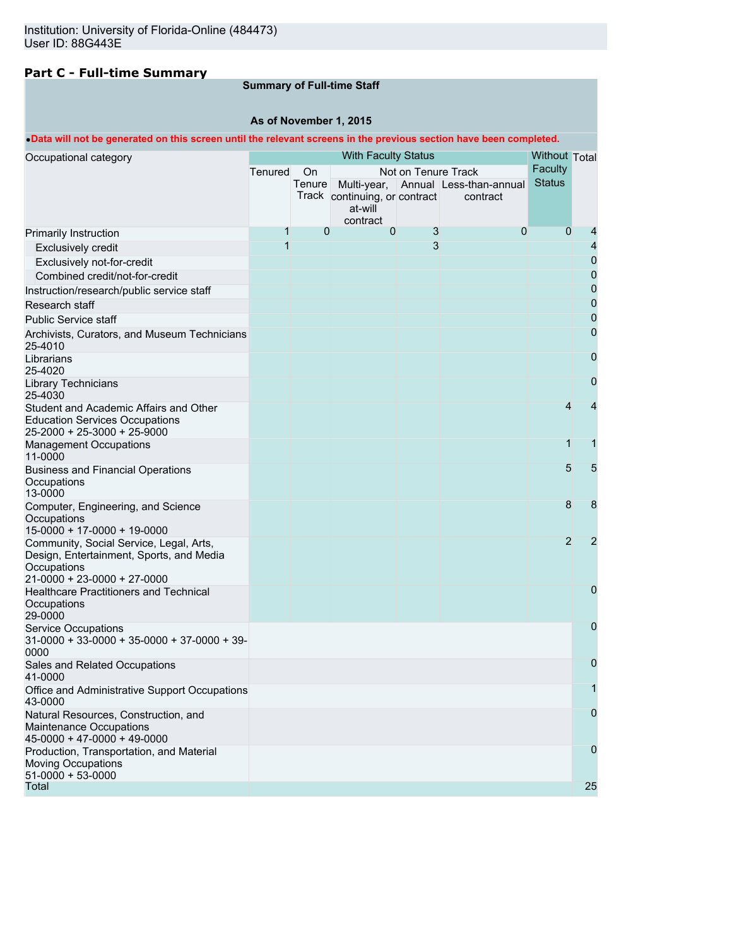# **Part C - Full-time Summary**

## **Summary of Full-time Staff**

### **As of November 1, 2015**

#### •**Data will not be generated on this screen until the relevant screens in the previous section have been completed.**

|                                                                                                  |         |                      | <b>With Faculty Status</b>               |                     |                                     |                          |                |
|--------------------------------------------------------------------------------------------------|---------|----------------------|------------------------------------------|---------------------|-------------------------------------|--------------------------|----------------|
| Occupational category                                                                            |         | <b>Without Total</b> |                                          |                     |                                     |                          |                |
|                                                                                                  | Tenured | On                   |                                          | Not on Tenure Track |                                     | Faculty<br><b>Status</b> |                |
|                                                                                                  |         | Tenure               |                                          |                     | Multi-year, Annual Less-than-annual |                          |                |
|                                                                                                  |         |                      | Track continuing, or contract<br>at-will |                     | contract                            |                          |                |
|                                                                                                  |         |                      | contract                                 |                     |                                     |                          |                |
| Primarily Instruction                                                                            | 1       | $\mathbf{0}$         | 0                                        | 3                   | 0                                   | $\Omega$                 |                |
| <b>Exclusively credit</b>                                                                        | 1       |                      |                                          | 3                   |                                     |                          | 4              |
| Exclusively not-for-credit                                                                       |         |                      |                                          |                     |                                     |                          | 0              |
| Combined credit/not-for-credit                                                                   |         |                      |                                          |                     |                                     |                          | 0              |
| Instruction/research/public service staff                                                        |         |                      |                                          |                     |                                     |                          | $\mathbf 0$    |
| Research staff                                                                                   |         |                      |                                          |                     |                                     |                          | $\mathbf 0$    |
| <b>Public Service staff</b>                                                                      |         |                      |                                          |                     |                                     |                          | $\mathbf 0$    |
| Archivists, Curators, and Museum Technicians<br>25-4010                                          |         |                      |                                          |                     |                                     |                          | 0              |
| Librarians<br>25-4020                                                                            |         |                      |                                          |                     |                                     |                          | 0              |
| <b>Library Technicians</b><br>25-4030                                                            |         |                      |                                          |                     |                                     |                          | 0              |
| Student and Academic Affairs and Other                                                           |         |                      |                                          |                     |                                     | 4                        | 4              |
| <b>Education Services Occupations</b><br>25-2000 + 25-3000 + 25-9000                             |         |                      |                                          |                     |                                     |                          |                |
| <b>Management Occupations</b><br>11-0000                                                         |         |                      |                                          |                     |                                     | 1                        | 1              |
| <b>Business and Financial Operations</b><br>Occupations                                          |         |                      |                                          |                     |                                     | 5                        | 5              |
| 13-0000                                                                                          |         |                      |                                          |                     |                                     |                          |                |
| Computer, Engineering, and Science                                                               |         |                      |                                          |                     |                                     | 8                        | 8              |
| Occupations<br>15-0000 + 17-0000 + 19-0000                                                       |         |                      |                                          |                     |                                     |                          |                |
| Community, Social Service, Legal, Arts,                                                          |         |                      |                                          |                     |                                     | $\overline{2}$           | $\overline{2}$ |
| Design, Entertainment, Sports, and Media                                                         |         |                      |                                          |                     |                                     |                          |                |
| Occupations                                                                                      |         |                      |                                          |                     |                                     |                          |                |
| 21-0000 + 23-0000 + 27-0000                                                                      |         |                      |                                          |                     |                                     |                          |                |
| Healthcare Practitioners and Technical<br>Occupations<br>29-0000                                 |         |                      |                                          |                     |                                     |                          | 0              |
| <b>Service Occupations</b>                                                                       |         |                      |                                          |                     |                                     |                          | 0              |
| $31-0000 + 33-0000 + 35-0000 + 37-0000 + 39-$<br>0000                                            |         |                      |                                          |                     |                                     |                          |                |
| Sales and Related Occupations<br>41-0000                                                         |         |                      |                                          |                     |                                     |                          | 0              |
| Office and Administrative Support Occupations<br>43-0000                                         |         |                      |                                          |                     |                                     |                          | 1              |
| Natural Resources, Construction, and<br>Maintenance Occupations<br>$45-0000 + 47-0000 + 49-0000$ |         |                      |                                          |                     |                                     |                          | 0              |
| Production, Transportation, and Material<br><b>Moving Occupations</b><br>$51-0000 + 53-0000$     |         |                      |                                          |                     |                                     |                          | 0              |
| Total                                                                                            |         |                      |                                          |                     |                                     |                          | 25             |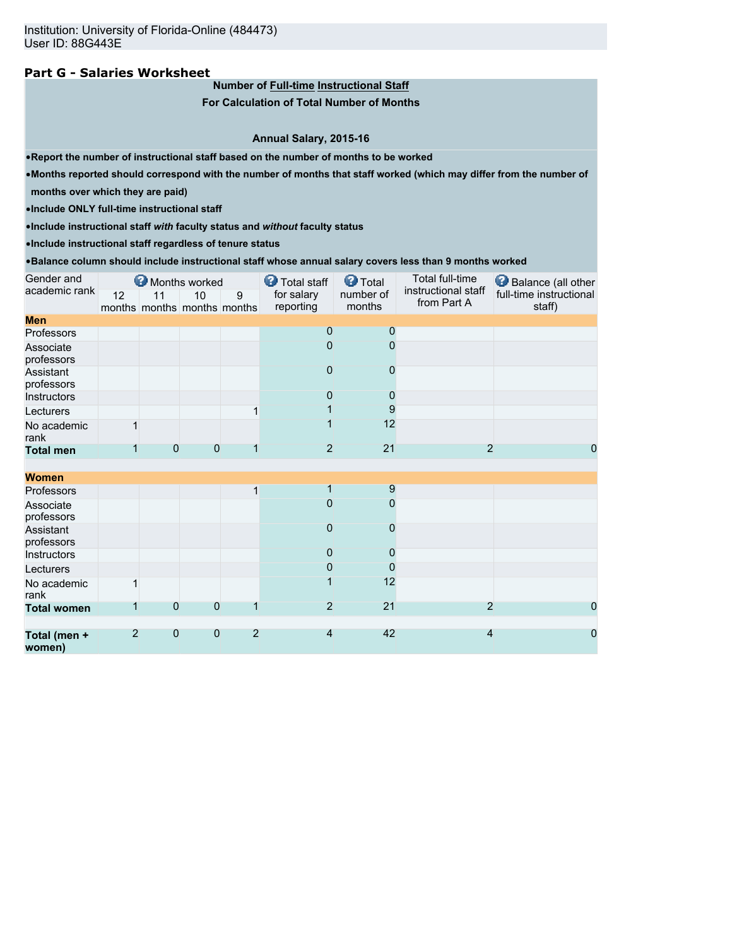### **Part G - Salaries Worksheet**

**Number of Full-time Instructional Staff**

**For Calculation of Total Number of Months**

**Annual Salary, 2015-16**

•**Report the number of instructional staff based on the number of months to be worked**

•**Months reported should correspond with the number of months that staff worked (which may differ from the number of**

**months over which they are paid)**

•**Include ONLY full-time instructional staff**

•**Include instructional staff** *with* **faculty status and** *without* **faculty status**

•**Include instructional staff regardless of tenure status**

•**Balance column should include instructional staff whose annual salary covers less than 9 months worked**

| Gender and              |                |              | Months worked                     |                | <b>D</b> Total staff    | <b>O</b> Total      | Total full-time                    | Balance (all other                |
|-------------------------|----------------|--------------|-----------------------------------|----------------|-------------------------|---------------------|------------------------------------|-----------------------------------|
| academic rank           | 12             | 11           | 10<br>months months months months | 9              | for salary<br>reporting | number of<br>months | instructional staff<br>from Part A | full-time instructional<br>staff) |
| <b>Men</b>              |                |              |                                   |                |                         |                     |                                    |                                   |
| Professors              |                |              |                                   |                | $\mathbf 0$             | 0                   |                                    |                                   |
| Associate<br>professors |                |              |                                   |                | $\Omega$                | 0                   |                                    |                                   |
| Assistant<br>professors |                |              |                                   |                | $\Omega$                | 0                   |                                    |                                   |
| Instructors             |                |              |                                   |                | 0                       | 0                   |                                    |                                   |
| Lecturers               |                |              |                                   |                |                         | 9                   |                                    |                                   |
| No academic<br>rank     | 1              |              |                                   |                |                         | 12                  |                                    |                                   |
| <b>Total men</b>        |                | 0            | 0                                 |                | $\overline{2}$          | 21                  | $\overline{2}$                     | 0                                 |
|                         |                |              |                                   |                |                         |                     |                                    |                                   |
| <b>Women</b>            |                |              |                                   |                |                         |                     |                                    |                                   |
| Professors              |                |              |                                   | 1              |                         | 9                   |                                    |                                   |
| Associate<br>professors |                |              |                                   |                | $\Omega$                | $\mathbf{0}$        |                                    |                                   |
| Assistant<br>professors |                |              |                                   |                | $\overline{0}$          | 0                   |                                    |                                   |
| Instructors             |                |              |                                   |                | $\overline{0}$          | 0                   |                                    |                                   |
| Lecturers               |                |              |                                   |                | 0                       | 0                   |                                    |                                   |
| No academic<br>rank     | 1              |              |                                   |                |                         | 12                  |                                    |                                   |
| <b>Total women</b>      | 1              | 0            | $\mathbf 0$                       |                | $\overline{2}$          | 21                  | $\overline{2}$                     | 0                                 |
|                         |                |              |                                   |                |                         |                     |                                    |                                   |
| Total (men +<br>women)  | $\overline{2}$ | $\mathbf{0}$ | $\theta$                          | $\overline{2}$ | $\overline{4}$          | 42                  | 4                                  | 0                                 |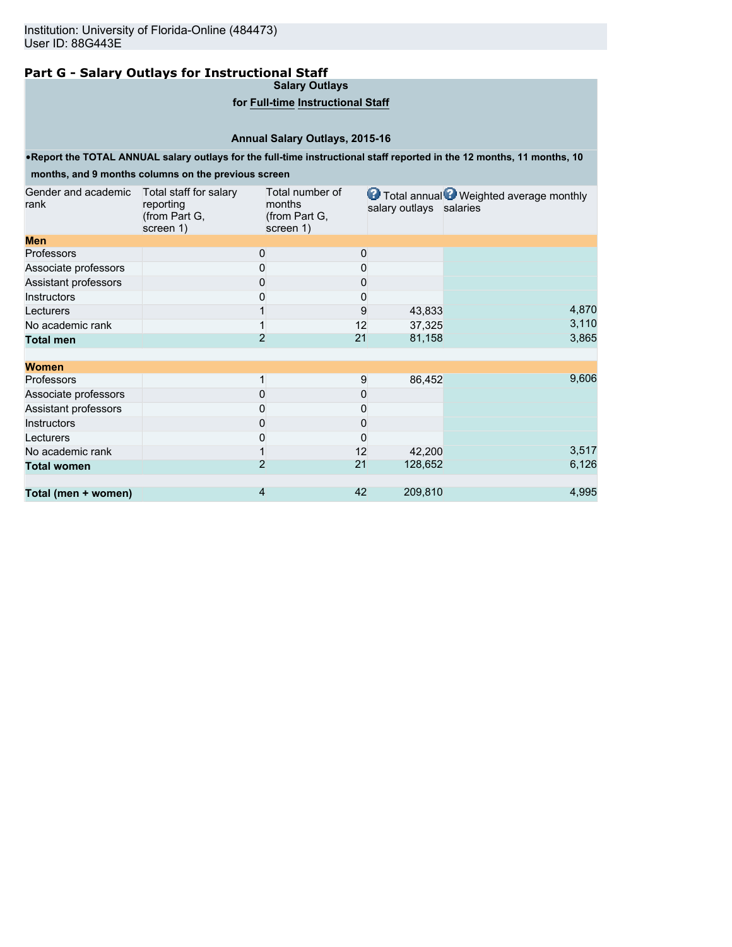# **Part G - Salary Outlays for Instructional Staff**

**Salary Outlays**

### **for Full-time Instructional Staff**

## **Annual Salary Outlays, 2015-16**

•**Report the TOTAL ANNUAL salary outlays for the full-time instructional staff reported in the 12 months, 11 months, 10**

# **months, and 9 months columns on the previous screen**

| Gender and academic<br>rank | Total staff for salary<br>reporting<br>(from Part G,<br>screen 1) | Total number of<br>months<br>(from Part G,<br>screen 1) |    | salary outlays salaries | <b>O</b> Total annual <b>O</b> Weighted average monthly |
|-----------------------------|-------------------------------------------------------------------|---------------------------------------------------------|----|-------------------------|---------------------------------------------------------|
| <b>Men</b>                  |                                                                   |                                                         |    |                         |                                                         |
| <b>Professors</b>           |                                                                   | 0                                                       | 0  |                         |                                                         |
| Associate professors        |                                                                   | 0                                                       | 0  |                         |                                                         |
| Assistant professors        |                                                                   | 0                                                       | 0  |                         |                                                         |
| <b>Instructors</b>          |                                                                   | 0                                                       | 0  |                         |                                                         |
| Lecturers                   |                                                                   |                                                         | 9  | 43,833                  | 4,870                                                   |
| No academic rank            |                                                                   |                                                         | 12 | 37,325                  | 3,110                                                   |
| <b>Total men</b>            |                                                                   | $\overline{2}$                                          | 21 | 81,158                  | 3,865                                                   |
| <b>Women</b>                |                                                                   |                                                         |    |                         |                                                         |
| <b>Professors</b>           |                                                                   |                                                         | 9  | 86,452                  | 9,606                                                   |
| Associate professors        |                                                                   | 0                                                       | 0  |                         |                                                         |
| Assistant professors        |                                                                   |                                                         | 0  |                         |                                                         |
| <b>Instructors</b>          |                                                                   | 0                                                       | 0  |                         |                                                         |
| Lecturers                   |                                                                   | 0                                                       | 0  |                         |                                                         |
| No academic rank            |                                                                   |                                                         | 12 | 42,200                  | 3,517                                                   |
| <b>Total women</b>          |                                                                   | $\overline{2}$                                          | 21 | 128,652                 | 6,126                                                   |
| Total (men + women)         |                                                                   | 4                                                       | 42 | 209,810                 | 4,995                                                   |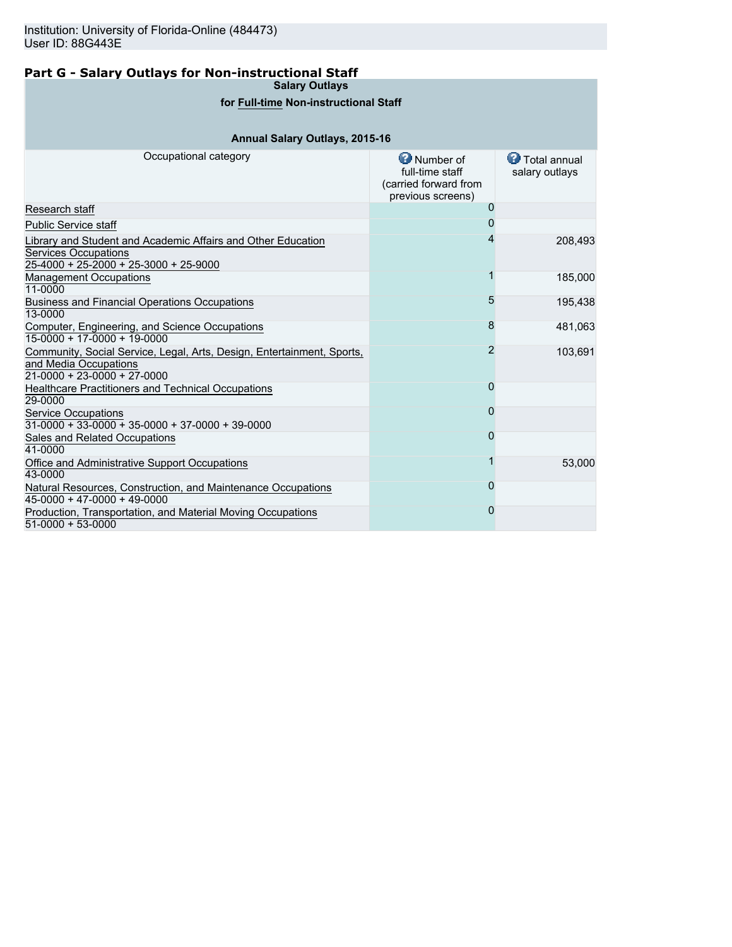# **Part G - Salary Outlays for Non-instructional Staff**

**Salary Outlays**

## **for Full-time Non-instructional Staff**

# **Annual Salary Outlays, 2015-16**

| Occupational category                                                                                                                | <b>O</b> Number of<br>full-time staff<br>(carried forward from<br>previous screens) | Total annual<br>salary outlays |
|--------------------------------------------------------------------------------------------------------------------------------------|-------------------------------------------------------------------------------------|--------------------------------|
| Research staff                                                                                                                       | O                                                                                   |                                |
| <b>Public Service staff</b>                                                                                                          |                                                                                     |                                |
| Library and Student and Academic Affairs and Other Education<br><b>Services Occupations</b><br>25-4000 + 25-2000 + 25-3000 + 25-9000 |                                                                                     | 208,493                        |
| <b>Management Occupations</b><br>11-0000                                                                                             |                                                                                     | 185,000                        |
| <b>Business and Financial Operations Occupations</b><br>13-0000                                                                      | 5                                                                                   | 195,438                        |
| Computer, Engineering, and Science Occupations<br>$15-0000 + 17-0000 + 19-0000$                                                      | 8                                                                                   | 481,063                        |
| Community, Social Service, Legal, Arts, Design, Entertainment, Sports,<br>and Media Occupations<br>$21-0000 + 23-0000 + 27-0000$     | 2                                                                                   | 103,691                        |
| Healthcare Practitioners and Technical Occupations<br>29-0000                                                                        | 0                                                                                   |                                |
| <b>Service Occupations</b><br>$31-0000 + 33-0000 + 35-0000 + 37-0000 + 39-0000$                                                      | 0                                                                                   |                                |
| Sales and Related Occupations<br>41-0000                                                                                             |                                                                                     |                                |
| Office and Administrative Support Occupations<br>43-0000                                                                             |                                                                                     | 53,000                         |
| Natural Resources, Construction, and Maintenance Occupations<br>$45-0000 + 47-0000 + 49-0000$                                        |                                                                                     |                                |
| Production, Transportation, and Material Moving Occupations<br>51-0000 + 53-0000                                                     |                                                                                     |                                |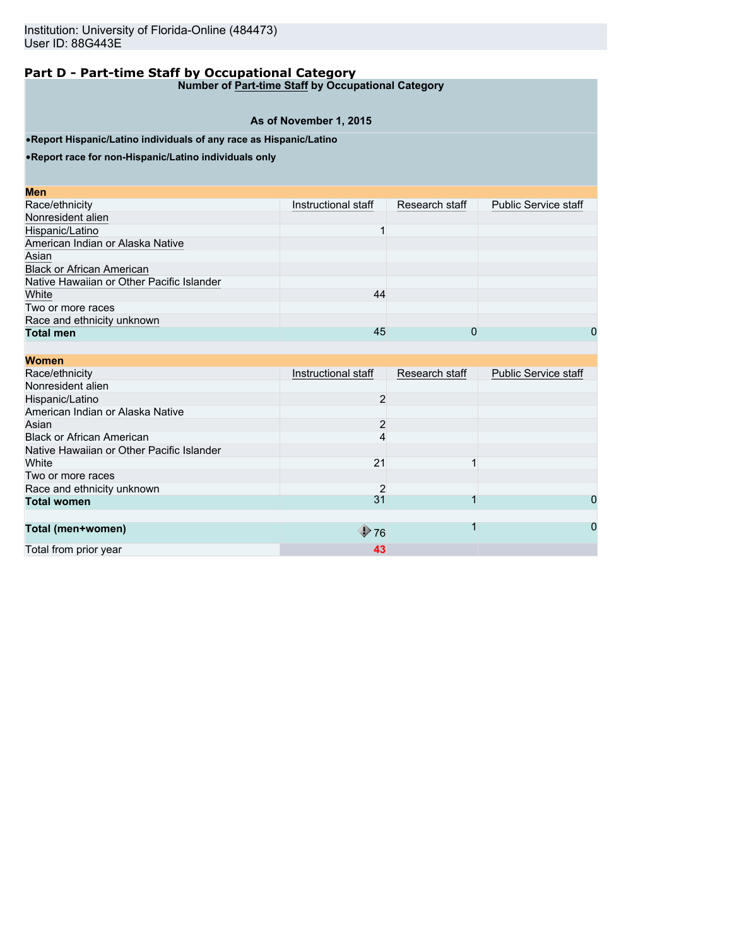**Number of Part-time Staff by Occupational Category**

### **As of November 1, 2015**

•**Report Hispanic/Latino individuals of any race as Hispanic/Latino**

•**Report race for non-Hispanic/Latino individuals only**

| Instructional staff | Research staff | <b>Public Service staff</b> |
|---------------------|----------------|-----------------------------|
|                     |                |                             |
|                     |                |                             |
|                     |                |                             |
|                     |                |                             |
|                     |                |                             |
|                     |                |                             |
| 44                  |                |                             |
|                     |                |                             |
|                     |                |                             |
| 45                  | 0              | 0                           |
|                     |                |                             |

| <b>Women</b>                              |                     |                |                             |
|-------------------------------------------|---------------------|----------------|-----------------------------|
| Race/ethnicity                            | Instructional staff | Research staff | <b>Public Service staff</b> |
| Nonresident alien                         |                     |                |                             |
| Hispanic/Latino                           | $\overline{2}$      |                |                             |
| American Indian or Alaska Native          |                     |                |                             |
| Asian                                     | $\overline{2}$      |                |                             |
| <b>Black or African American</b>          |                     |                |                             |
| Native Hawaiian or Other Pacific Islander |                     |                |                             |
| White                                     | 21                  |                |                             |
| Two or more races                         |                     |                |                             |
| Race and ethnicity unknown                |                     |                |                             |
| <b>Total women</b>                        | 31                  |                | 0                           |
|                                           |                     |                |                             |
| Total (men+women)                         | $\bigcirc$ 76       |                | 0                           |
| Total from prior year                     | 43                  |                |                             |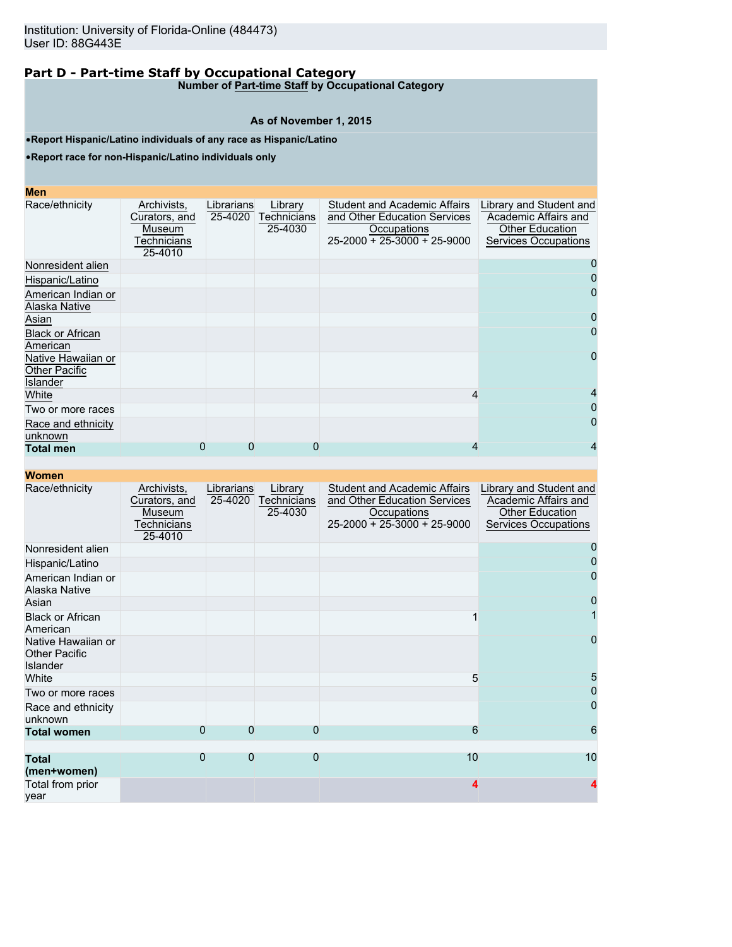**Number of Part-time Staff by Occupational Category**

#### **As of November 1, 2015**

•**Report Hispanic/Latino individuals of any race as Hispanic/Latino**

•**Report race for non-Hispanic/Latino individuals only**

| ٠<br><b>Contract Contract Contract Contract Contract Contract Contract Contract Contract Contract Contract Contract Co</b> | $\mathcal{L}^{\text{max}}_{\text{max}}$ and $\mathcal{L}^{\text{max}}_{\text{max}}$ and $\mathcal{L}^{\text{max}}_{\text{max}}$<br>ويتباد |  |  |
|----------------------------------------------------------------------------------------------------------------------------|-------------------------------------------------------------------------------------------------------------------------------------------|--|--|
|                                                                                                                            |                                                                                                                                           |  |  |

| Race/ethnicity                | Archivists,<br>Curators, and<br>Museum<br>Technicians<br>25-4010 | Librarians<br>25-4020 | Library<br>Technicians<br>25-4030 | <b>Student and Academic Affairs</b><br>and Other Education Services<br>Occupations<br>$25 - 2000 + 25 - 3000 + 25 - 9000$ | Library and Student and<br>Academic Affairs and<br><b>Other Education</b><br>Services Occupations |
|-------------------------------|------------------------------------------------------------------|-----------------------|-----------------------------------|---------------------------------------------------------------------------------------------------------------------------|---------------------------------------------------------------------------------------------------|
| Nonresident alien             |                                                                  |                       |                                   |                                                                                                                           | 0                                                                                                 |
| Hispanic/Latino               |                                                                  |                       |                                   |                                                                                                                           |                                                                                                   |
| American Indian or            |                                                                  |                       |                                   |                                                                                                                           | 0                                                                                                 |
| Alaska Native                 |                                                                  |                       |                                   |                                                                                                                           |                                                                                                   |
| Asian                         |                                                                  |                       |                                   |                                                                                                                           | 0                                                                                                 |
| <b>Black or African</b>       |                                                                  |                       |                                   |                                                                                                                           | 0                                                                                                 |
| American                      |                                                                  |                       |                                   |                                                                                                                           |                                                                                                   |
| Native Hawaiian or            |                                                                  |                       |                                   |                                                                                                                           | 0                                                                                                 |
| <b>Other Pacific</b>          |                                                                  |                       |                                   |                                                                                                                           |                                                                                                   |
| Islander                      |                                                                  |                       |                                   |                                                                                                                           |                                                                                                   |
| White                         |                                                                  |                       |                                   | 4                                                                                                                         | 4                                                                                                 |
| Two or more races             |                                                                  |                       |                                   |                                                                                                                           | 0                                                                                                 |
| Race and ethnicity<br>unknown |                                                                  |                       |                                   |                                                                                                                           | 0                                                                                                 |
| <b>Total men</b>              | 0                                                                | 0                     | 0                                 |                                                                                                                           | 4                                                                                                 |

| Race/ethnicity                                         | Archivists,<br>Curators, and<br>Museum<br>Technicians<br>25-4010 | Librarians<br>25-4020 | Library<br><b>Technicians</b><br>25-4030 | <b>Student and Academic Affairs</b><br>and Other Education Services<br>Occupations<br>$25-2000 + 25-3000 + 25-9000$ | Library and Student and<br>Academic Affairs and<br><b>Other Education</b><br>Services Occupations |
|--------------------------------------------------------|------------------------------------------------------------------|-----------------------|------------------------------------------|---------------------------------------------------------------------------------------------------------------------|---------------------------------------------------------------------------------------------------|
| Nonresident alien                                      |                                                                  |                       |                                          |                                                                                                                     |                                                                                                   |
| Hispanic/Latino                                        |                                                                  |                       |                                          |                                                                                                                     |                                                                                                   |
| American Indian or<br>Alaska Native                    |                                                                  |                       |                                          |                                                                                                                     | 0                                                                                                 |
| Asian                                                  |                                                                  |                       |                                          |                                                                                                                     | 0                                                                                                 |
| <b>Black or African</b><br>American                    |                                                                  |                       |                                          |                                                                                                                     |                                                                                                   |
| Native Hawaiian or<br><b>Other Pacific</b><br>Islander |                                                                  |                       |                                          |                                                                                                                     | 0                                                                                                 |
| White                                                  |                                                                  |                       |                                          | 5                                                                                                                   | 5                                                                                                 |
| Two or more races                                      |                                                                  |                       |                                          |                                                                                                                     |                                                                                                   |
| Race and ethnicity<br>unknown                          |                                                                  |                       |                                          |                                                                                                                     | 0                                                                                                 |
| <b>Total women</b>                                     | $\Omega$                                                         | 0                     | 0                                        | 6                                                                                                                   | 6                                                                                                 |
|                                                        |                                                                  |                       |                                          |                                                                                                                     |                                                                                                   |
| <b>Total</b><br>(men+women)                            | $\Omega$                                                         | $\overline{0}$        | $\Omega$                                 | 10                                                                                                                  | 10                                                                                                |
| Total from prior<br>year                               |                                                                  |                       |                                          | 4                                                                                                                   |                                                                                                   |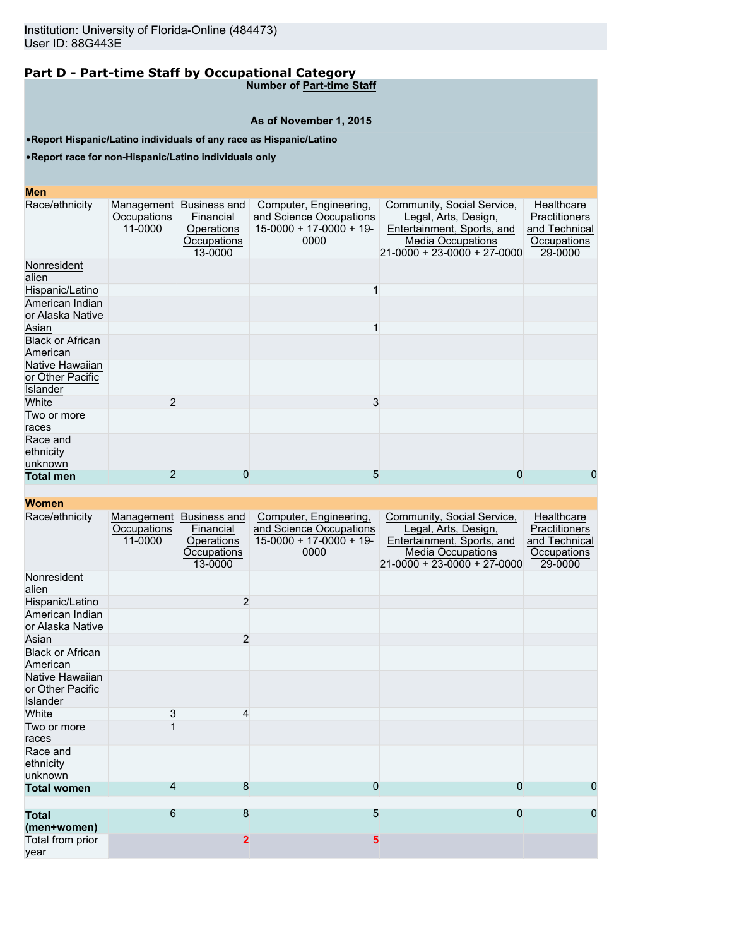**Number of Part-time Staff**

### **As of November 1, 2015**

•**Report Hispanic/Latino individuals of any race as Hispanic/Latino**

•**Report race for non-Hispanic/Latino individuals only**

### **Men**

| MEIL                                            |                        |                                                                              |                                                                                       |                                                                                                                                                     |                                                                        |
|-------------------------------------------------|------------------------|------------------------------------------------------------------------------|---------------------------------------------------------------------------------------|-----------------------------------------------------------------------------------------------------------------------------------------------------|------------------------------------------------------------------------|
| Race/ethnicity                                  | Occupations<br>11-0000 | Management Business and<br>Financial<br>Operations<br>Occupations<br>13-0000 | Computer, Engineering,<br>and Science Occupations<br>$15-0000 + 17-0000 + 19$<br>0000 | Community, Social Service,<br>Legal, Arts, Design,<br>Entertainment, Sports, and<br><b>Media Occupations</b><br>$21 - 0000 + 23 - 0000 + 27 - 0000$ | Healthcare<br>Practitioners<br>and Technical<br>Occupations<br>29-0000 |
| Nonresident<br>alien                            |                        |                                                                              |                                                                                       |                                                                                                                                                     |                                                                        |
| Hispanic/Latino                                 |                        |                                                                              |                                                                                       |                                                                                                                                                     |                                                                        |
| American Indian<br>or Alaska Native             |                        |                                                                              |                                                                                       |                                                                                                                                                     |                                                                        |
| Asian                                           |                        |                                                                              |                                                                                       |                                                                                                                                                     |                                                                        |
| <b>Black or African</b><br>American             |                        |                                                                              |                                                                                       |                                                                                                                                                     |                                                                        |
| Native Hawaiian<br>or Other Pacific<br>Islander |                        |                                                                              |                                                                                       |                                                                                                                                                     |                                                                        |
| White                                           | 2                      |                                                                              | 3                                                                                     |                                                                                                                                                     |                                                                        |
| Two or more<br>races                            |                        |                                                                              |                                                                                       |                                                                                                                                                     |                                                                        |
| Race and<br>ethnicity<br>unknown                |                        |                                                                              |                                                                                       |                                                                                                                                                     |                                                                        |
| <b>Total men</b>                                | 2                      | 0                                                                            | 5                                                                                     | 0                                                                                                                                                   | 0                                                                      |
|                                                 |                        |                                                                              |                                                                                       |                                                                                                                                                     |                                                                        |

| Race/ethnicity                                  | Management<br>Occupations<br>11-0000 | Business and<br>Financial<br>Operations<br>Occupations<br>13-0000 | Computer, Engineering,<br>and Science Occupations<br>$15-0000 + 17-0000 + 19$<br>0000 | Community, Social Service,<br>Legal, Arts, Design,<br>Entertainment, Sports, and<br><b>Media Occupations</b><br>$21-0000 + 23-0000 + 27-0000$ | Healthcare<br>Practitioners<br>and Technical<br>Occupations<br>29-0000 |
|-------------------------------------------------|--------------------------------------|-------------------------------------------------------------------|---------------------------------------------------------------------------------------|-----------------------------------------------------------------------------------------------------------------------------------------------|------------------------------------------------------------------------|
| Nonresident<br>alien                            |                                      |                                                                   |                                                                                       |                                                                                                                                               |                                                                        |
| Hispanic/Latino                                 |                                      | $\overline{2}$                                                    |                                                                                       |                                                                                                                                               |                                                                        |
| American Indian<br>or Alaska Native             |                                      |                                                                   |                                                                                       |                                                                                                                                               |                                                                        |
| Asian                                           |                                      | $\overline{2}$                                                    |                                                                                       |                                                                                                                                               |                                                                        |
| <b>Black or African</b><br>American             |                                      |                                                                   |                                                                                       |                                                                                                                                               |                                                                        |
| Native Hawaiian<br>or Other Pacific<br>Islander |                                      |                                                                   |                                                                                       |                                                                                                                                               |                                                                        |
| White                                           | 3                                    | 4                                                                 |                                                                                       |                                                                                                                                               |                                                                        |
| Two or more<br>races                            |                                      |                                                                   |                                                                                       |                                                                                                                                               |                                                                        |
| Race and<br>ethnicity<br>unknown                |                                      |                                                                   |                                                                                       |                                                                                                                                               |                                                                        |
| <b>Total women</b>                              | 4                                    | 8                                                                 | 0                                                                                     | 0                                                                                                                                             | 0                                                                      |
| <b>Total</b><br>(men+women)                     | 6                                    | 8                                                                 | 5                                                                                     | $\overline{0}$                                                                                                                                | 0                                                                      |
| Total from prior<br>vear                        |                                      | $\overline{2}$                                                    | 5                                                                                     |                                                                                                                                               |                                                                        |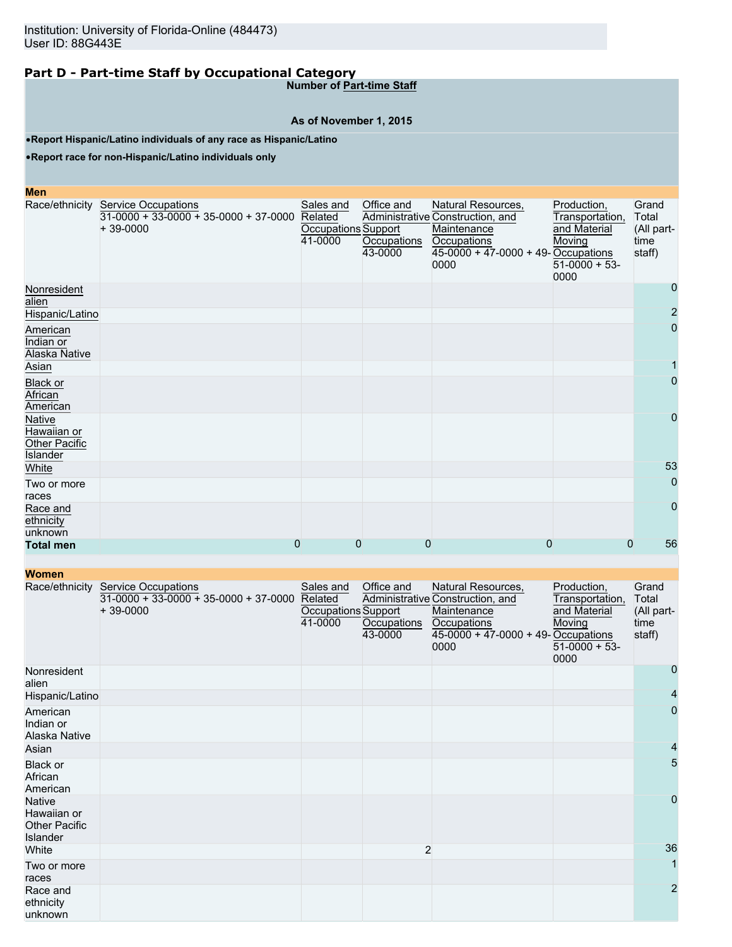**Number of Part-time Staff**

## **As of November 1, 2015**

•**Report Hispanic/Latino individuals of any race as Hispanic/Latino**

•**Report race for non-Hispanic/Latino individuals only**

| <b>Men</b>                                         |                                                                                             |                                                        |                                      |                                                                                                                                              |                                                                                     |                                                |
|----------------------------------------------------|---------------------------------------------------------------------------------------------|--------------------------------------------------------|--------------------------------------|----------------------------------------------------------------------------------------------------------------------------------------------|-------------------------------------------------------------------------------------|------------------------------------------------|
|                                                    | Race/ethnicity Service Occupations<br>$31-0000 + 33-0000 + 35-0000 + 37-0000$<br>$+39-0000$ | Sales and<br>Related<br>Occupations Support<br>41-0000 | Office and<br>Occupations<br>43-0000 | Natural Resources,<br>Administrative Construction, and<br>Maintenance<br><b>Occupations</b><br>$45-0000 + 47-0000 + 49$ -Occupations<br>0000 | Production,<br>Transportation,<br>and Material<br>Moving<br>$51-0000 + 53-$<br>0000 | Grand<br>Total<br>(All part-<br>time<br>staff) |
| Nonresident<br>alien                               |                                                                                             |                                                        |                                      |                                                                                                                                              |                                                                                     | 0                                              |
| Hispanic/Latino                                    |                                                                                             |                                                        |                                      |                                                                                                                                              |                                                                                     | $\overline{c}$                                 |
| American<br>Indian or<br>Alaska Native             |                                                                                             |                                                        |                                      |                                                                                                                                              |                                                                                     | 0                                              |
| Asian                                              |                                                                                             |                                                        |                                      |                                                                                                                                              |                                                                                     |                                                |
| <b>Black or</b><br>African<br>American             |                                                                                             |                                                        |                                      |                                                                                                                                              |                                                                                     | 0                                              |
| Native<br>Hawaiian or<br>Other Pacific<br>Islander |                                                                                             |                                                        |                                      |                                                                                                                                              |                                                                                     | 0                                              |
| White                                              |                                                                                             |                                                        |                                      |                                                                                                                                              |                                                                                     | 53                                             |
| Two or more<br>races                               |                                                                                             |                                                        |                                      |                                                                                                                                              |                                                                                     | $\mathbf 0$                                    |
| Race and<br>ethnicity<br>unknown                   |                                                                                             |                                                        |                                      |                                                                                                                                              |                                                                                     | $\overline{0}$                                 |
| <b>Total men</b>                                   |                                                                                             | 0<br>0                                                 | $\mathbf 0$                          | 0                                                                                                                                            | $\mathbf 0$                                                                         | 56                                             |

| <b>TYVIIIGH</b>                                                  |                                                                                             |                                                        |                                      |                                                                                                                                       |                                                                                    |                                                |
|------------------------------------------------------------------|---------------------------------------------------------------------------------------------|--------------------------------------------------------|--------------------------------------|---------------------------------------------------------------------------------------------------------------------------------------|------------------------------------------------------------------------------------|------------------------------------------------|
|                                                                  | Race/ethnicity Service Occupations<br>$31-0000 + 33-0000 + 35-0000 + 37-0000$<br>$+39-0000$ | Sales and<br>Related<br>Occupations Support<br>41-0000 | Office and<br>Occupations<br>43-0000 | Natural Resources,<br>Administrative Construction, and<br>Maintenance<br>Occupations<br>$45-0000 + 47-0000 + 49$ -Occupations<br>0000 | Production,<br>Transportation,<br>and Material<br>Moving<br>$51-0000 + 53$<br>0000 | Grand<br>Total<br>(All part-<br>time<br>staff) |
| Nonresident<br>alien                                             |                                                                                             |                                                        |                                      |                                                                                                                                       |                                                                                    | 0                                              |
| Hispanic/Latino                                                  |                                                                                             |                                                        |                                      |                                                                                                                                       |                                                                                    | 4                                              |
| American<br>Indian or<br>Alaska Native                           |                                                                                             |                                                        |                                      |                                                                                                                                       |                                                                                    | 0                                              |
| Asian                                                            |                                                                                             |                                                        |                                      |                                                                                                                                       |                                                                                    | 4                                              |
| Black or<br>African<br>American                                  |                                                                                             |                                                        |                                      |                                                                                                                                       |                                                                                    | 5                                              |
| <b>Native</b><br>Hawaiian or<br><b>Other Pacific</b><br>Islander |                                                                                             |                                                        |                                      |                                                                                                                                       |                                                                                    | $\overline{0}$                                 |
| White                                                            |                                                                                             |                                                        | $\overline{c}$                       |                                                                                                                                       |                                                                                    | 36                                             |
| Two or more<br>races                                             |                                                                                             |                                                        |                                      |                                                                                                                                       |                                                                                    |                                                |
| Race and<br>ethnicity<br>unknown                                 |                                                                                             |                                                        |                                      |                                                                                                                                       |                                                                                    | $\overline{2}$                                 |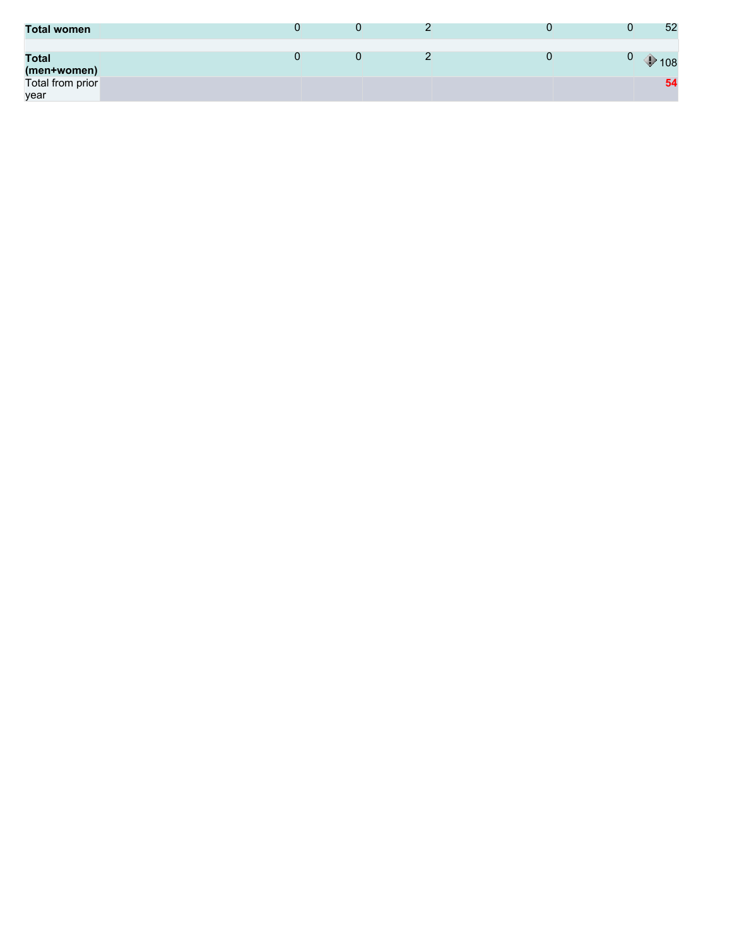| <b>Total women</b>          |  |  | 52  |
|-----------------------------|--|--|-----|
| <b>Total</b><br>(men+women) |  |  | 108 |
| Total from prior<br>year    |  |  | 54  |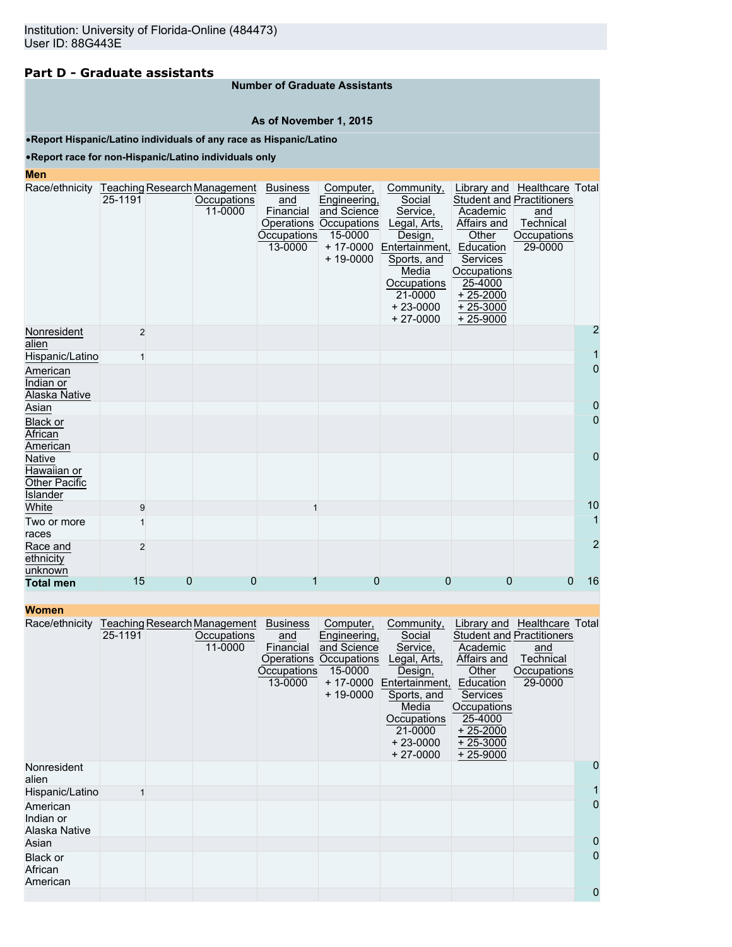### **Part D - Graduate assistants**

#### **Number of Graduate Assistants**

#### **As of November 1, 2015**

#### •**Report Hispanic/Latino individuals of any race as Hispanic/Latino**

#### •**Report race for non-Hispanic/Latino individuals only**

#### **Men**

| Race/ethnicity Teaching Research Management |                |   |             | <b>Business</b> | Computer,              | Community,     |             | Library and   Healthcare   Total |                |
|---------------------------------------------|----------------|---|-------------|-----------------|------------------------|----------------|-------------|----------------------------------|----------------|
|                                             | 25-1191        |   | Occupations | and             | Engineering,           | Social         |             | <b>Student and Practitioners</b> |                |
|                                             |                |   | 11-0000     | Financial       | and Science            | Service,       | Academic    | and                              |                |
|                                             |                |   |             |                 | Operations Occupations | Legal, Arts,   | Affairs and | Technical                        |                |
|                                             |                |   |             | Occupations     | 15-0000                | Design,        | Other       | Occupations                      |                |
|                                             |                |   |             | 13-0000         | $+ 17 - 0000$          | Entertainment, | Education   | 29-0000                          |                |
|                                             |                |   |             |                 | $+ 19 - 0000$          | Sports, and    | Services    |                                  |                |
|                                             |                |   |             |                 |                        | Media          | Occupations |                                  |                |
|                                             |                |   |             |                 |                        | Occupations    | 25-4000     |                                  |                |
|                                             |                |   |             |                 |                        | 21-0000        | $+25-2000$  |                                  |                |
|                                             |                |   |             |                 |                        | $+23-0000$     | $+25-3000$  |                                  |                |
|                                             |                |   |             |                 |                        | $+27-0000$     | $+25-9000$  |                                  |                |
| Nonresident<br>alien                        | $\overline{2}$ |   |             |                 |                        |                |             |                                  | $\overline{2}$ |
| Hispanic/Latino                             |                |   |             |                 |                        |                |             |                                  | 1              |
| American                                    |                |   |             |                 |                        |                |             |                                  | $\overline{0}$ |
| Indian or                                   |                |   |             |                 |                        |                |             |                                  |                |
| Alaska Native                               |                |   |             |                 |                        |                |             |                                  |                |
| Asian                                       |                |   |             |                 |                        |                |             |                                  | $\overline{0}$ |
| <b>Black or</b>                             |                |   |             |                 |                        |                |             |                                  | $\mathbf{0}$   |
| African                                     |                |   |             |                 |                        |                |             |                                  |                |
| American                                    |                |   |             |                 |                        |                |             |                                  |                |
| <b>Native</b>                               |                |   |             |                 |                        |                |             |                                  | $\mathbf{0}$   |
| Hawaiian or                                 |                |   |             |                 |                        |                |             |                                  |                |
| <b>Other Pacific</b>                        |                |   |             |                 |                        |                |             |                                  |                |
| <b>Islander</b>                             |                |   |             |                 |                        |                |             |                                  |                |
| White                                       | 9              |   |             |                 |                        |                |             |                                  | 10             |
| Two or more                                 |                |   |             |                 |                        |                |             |                                  | $\overline{1}$ |
| races                                       |                |   |             |                 |                        |                |             |                                  |                |
| Race and                                    | $\overline{2}$ |   |             |                 |                        |                |             |                                  | $\overline{2}$ |
| ethnicity                                   |                |   |             |                 |                        |                |             |                                  |                |
| unknown                                     |                |   |             |                 |                        |                |             |                                  |                |
| <b>Total men</b>                            | 15             | 0 | 0           |                 | 0                      | 0              | 0           | 0                                | 16             |

| Women |  |
|-------|--|
|-------|--|

| women                                  |         |                                                               |                                                                             |                                                                                                             |                                                                                                                                                             |                                                                                                                               |                                                                                                                |                |
|----------------------------------------|---------|---------------------------------------------------------------|-----------------------------------------------------------------------------|-------------------------------------------------------------------------------------------------------------|-------------------------------------------------------------------------------------------------------------------------------------------------------------|-------------------------------------------------------------------------------------------------------------------------------|----------------------------------------------------------------------------------------------------------------|----------------|
| Race/ethnicity                         | 25-1191 | Teaching Research Management<br><b>Occupations</b><br>11-0000 | <b>Business</b><br>and<br>Financial<br>Operations<br>Occupations<br>13-0000 | Computer,<br>Engineering,<br>and Science<br><b>Occupations</b><br>15-0000<br>$+ 17 - 0000$<br>$+ 19 - 0000$ | Community,<br>Social<br>Service,<br>Legal, Arts,<br>Design,<br>Entertainment,<br>Sports, and<br>Media<br>Occupations<br>21-0000<br>$+23-0000$<br>$+27-0000$ | Academic<br>Affairs and<br>Other<br>Education<br>Services<br>Occupations<br>25-4000<br>$+25-2000$<br>$+25-3000$<br>$+25-9000$ | Library and Healthcare Total<br><b>Student and Practitioners</b><br>and<br>Technical<br>Occupations<br>29-0000 |                |
| Nonresident<br>alien                   |         |                                                               |                                                                             |                                                                                                             |                                                                                                                                                             |                                                                                                                               |                                                                                                                | $\overline{0}$ |
| Hispanic/Latino                        |         |                                                               |                                                                             |                                                                                                             |                                                                                                                                                             |                                                                                                                               |                                                                                                                |                |
| American<br>Indian or<br>Alaska Native |         |                                                               |                                                                             |                                                                                                             |                                                                                                                                                             |                                                                                                                               |                                                                                                                | $\overline{0}$ |
| Asian                                  |         |                                                               |                                                                             |                                                                                                             |                                                                                                                                                             |                                                                                                                               |                                                                                                                | $\overline{0}$ |
| Black or<br>African<br>American        |         |                                                               |                                                                             |                                                                                                             |                                                                                                                                                             |                                                                                                                               |                                                                                                                | $\overline{0}$ |
|                                        |         |                                                               |                                                                             |                                                                                                             |                                                                                                                                                             |                                                                                                                               |                                                                                                                | $\mathbf 0$    |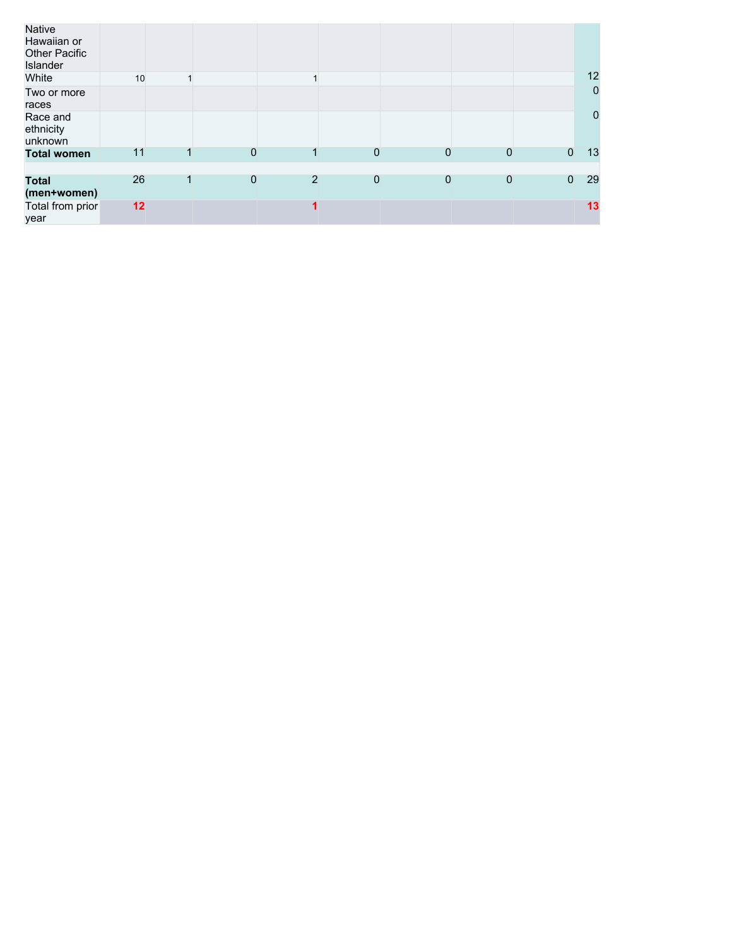| Native<br>Hawaiian or<br><b>Other Pacific</b><br>Islander |    |   |                |                |             |                |              |                |                |
|-----------------------------------------------------------|----|---|----------------|----------------|-------------|----------------|--------------|----------------|----------------|
| White                                                     | 10 |   |                |                |             |                |              |                | 12             |
| Two or more<br>races                                      |    |   |                |                |             |                |              |                | $\overline{0}$ |
| Race and<br>ethnicity<br>unknown                          |    |   |                |                |             |                |              |                | $\theta$       |
| <b>Total women</b>                                        | 11 |   | $\overline{0}$ |                | $\mathbf 0$ | $\overline{0}$ | $\mathbf 0$  | $\overline{0}$ | 13             |
|                                                           |    |   |                |                |             |                |              |                |                |
| Total<br>(men+women)                                      | 26 | 1 | $\overline{0}$ | $\overline{2}$ | $\mathbf 0$ | $\mathbf{0}$   | $\mathbf{0}$ | $\mathbf{0}$   | 29             |
| Total from prior<br>year                                  | 12 |   |                | 1              |             |                |              |                | 13             |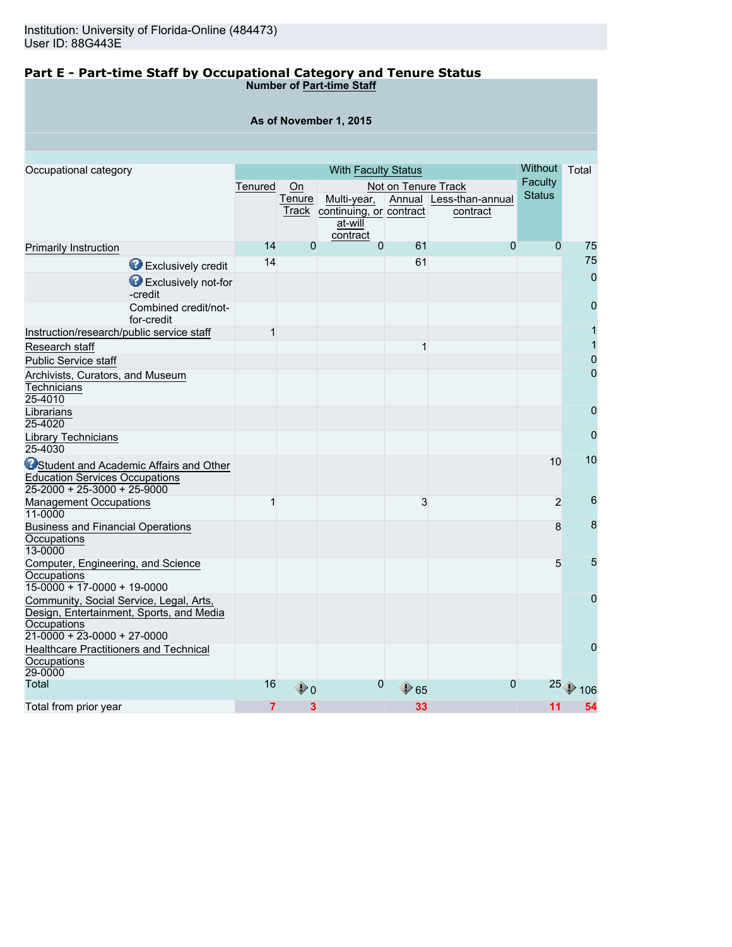Healthcare Practitioners and Technical

**Occupations** 29-0000

#### **Part E - Part-time Staff by Occupational Category and Tenure Status Number of Part-time Staff**

| As of November 1, 2015                                                                                                              |         |                       |                                                                                 |                     |                                     |                                                   |                |  |  |  |
|-------------------------------------------------------------------------------------------------------------------------------------|---------|-----------------------|---------------------------------------------------------------------------------|---------------------|-------------------------------------|---------------------------------------------------|----------------|--|--|--|
|                                                                                                                                     |         |                       |                                                                                 |                     |                                     |                                                   |                |  |  |  |
|                                                                                                                                     |         |                       |                                                                                 |                     |                                     |                                                   |                |  |  |  |
| Occupational category                                                                                                               | Tenured | On<br>Tenure<br>Track | <b>With Faculty Status</b><br>Multi-year,<br>continuing, or contract<br>at-will | Not on Tenure Track | Annual Less-than-annual<br>contract | <b>Without</b><br><b>Faculty</b><br><b>Status</b> | Total          |  |  |  |
| Primarily Instruction                                                                                                               | 14      | $\Omega$              | contract<br>$\overline{0}$                                                      | 61                  | $\Omega$                            | $\overline{0}$                                    | 75             |  |  |  |
| Exclusively credit                                                                                                                  | 14      |                       |                                                                                 | 61                  |                                     |                                                   | 75             |  |  |  |
| Exclusively not-for<br>-credit                                                                                                      |         |                       |                                                                                 |                     |                                     |                                                   | $\overline{0}$ |  |  |  |
| Combined credit/not-<br>for-credit                                                                                                  |         |                       |                                                                                 |                     |                                     |                                                   | 0              |  |  |  |
| Instruction/research/public service staff                                                                                           | 1       |                       |                                                                                 |                     |                                     |                                                   |                |  |  |  |
| Research staff                                                                                                                      |         |                       |                                                                                 | 1                   |                                     |                                                   |                |  |  |  |
| <b>Public Service staff</b>                                                                                                         |         |                       |                                                                                 |                     |                                     |                                                   | 0              |  |  |  |
| Archivists, Curators, and Museum<br>Technicians<br>25-4010                                                                          |         |                       |                                                                                 |                     |                                     |                                                   | $\overline{0}$ |  |  |  |
| Librarians<br>25-4020                                                                                                               |         |                       |                                                                                 |                     |                                     |                                                   | $\overline{0}$ |  |  |  |
| Library Technicians<br>25-4030                                                                                                      |         |                       |                                                                                 |                     |                                     |                                                   | $\overline{0}$ |  |  |  |
| <b>O</b> Student and Academic Affairs and Other<br><b>Education Services Occupations</b><br>25-2000 + 25-3000 + 25-9000             |         |                       |                                                                                 |                     |                                     | 10                                                | 10             |  |  |  |
| <b>Management Occupations</b><br>11-0000                                                                                            | 1       |                       |                                                                                 | 3                   |                                     | $\overline{2}$                                    | 6              |  |  |  |
| <b>Business and Financial Operations</b><br>Occupations<br>13-0000                                                                  |         |                       |                                                                                 |                     |                                     | 8                                                 | 8              |  |  |  |
| Computer, Engineering, and Science<br>Occupations<br>$15-0000 + 17-0000 + 19-0000$                                                  |         |                       |                                                                                 |                     |                                     | 5                                                 | 5              |  |  |  |
| Community, Social Service, Legal, Arts,<br>Design, Entertainment, Sports, and Media<br>Occupations<br>$21-0000 + 23-0000 + 27-0000$ |         |                       |                                                                                 |                     |                                     |                                                   | $\overline{0}$ |  |  |  |

Total 16  $\textcolor{red}{\bigcirc}$  0  $\textcolor{red}{\bigcirc}$  65  $\textcolor{red}{\bigcirc}$  25  $\textcolor{red}{\bigcirc}$  106 Total from prior year **7** 3 33 33 11 54

0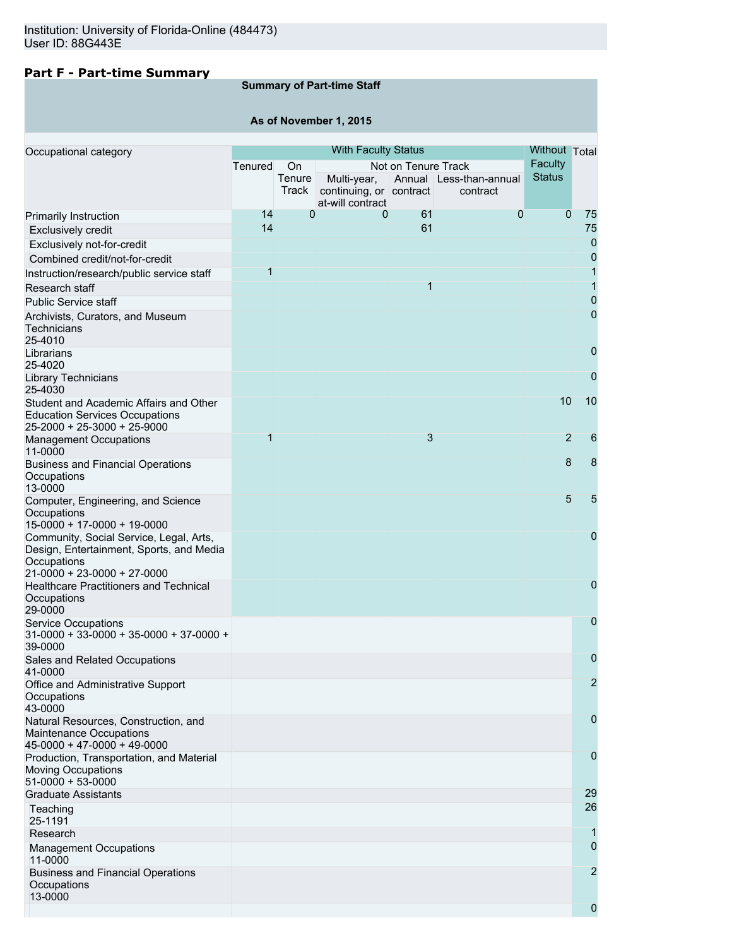# **Part F - Part-time Summary**

# **Summary of Part-time Staff**

**As of November 1, 2015**

| Occupational category                                                                                          |                |                       | <b>With Faculty Status</b>             |                     |                                     | Without Total            |                  |
|----------------------------------------------------------------------------------------------------------------|----------------|-----------------------|----------------------------------------|---------------------|-------------------------------------|--------------------------|------------------|
|                                                                                                                | Tenured        | On<br>Tenure<br>Track | Multi-year,<br>continuing, or contract | Not on Tenure Track | Annual Less-than-annual<br>contract | Faculty<br><b>Status</b> |                  |
|                                                                                                                |                |                       | at-will contract                       |                     |                                     |                          |                  |
| Primarily Instruction                                                                                          | 14             | $\overline{0}$        | 0                                      | 61                  | $\mathbf 0$                         | $\Omega$                 | 75               |
| <b>Exclusively credit</b>                                                                                      | 14             |                       |                                        | 61                  |                                     |                          | 75               |
| Exclusively not-for-credit                                                                                     |                |                       |                                        |                     |                                     |                          | 0                |
| Combined credit/not-for-credit                                                                                 |                |                       |                                        |                     |                                     |                          | 0                |
| Instruction/research/public service staff                                                                      | $\overline{1}$ |                       |                                        |                     |                                     |                          | 1                |
| Research staff                                                                                                 |                |                       |                                        | 1                   |                                     |                          | 1                |
| <b>Public Service staff</b>                                                                                    |                |                       |                                        |                     |                                     |                          | 0                |
| Archivists, Curators, and Museum<br>Technicians<br>25-4010                                                     |                |                       |                                        |                     |                                     |                          | 0                |
| Librarians<br>25-4020                                                                                          |                |                       |                                        |                     |                                     |                          | 0                |
| <b>Library Technicians</b><br>25-4030                                                                          |                |                       |                                        |                     |                                     |                          | $\mathbf 0$      |
| Student and Academic Affairs and Other<br><b>Education Services Occupations</b><br>25-2000 + 25-3000 + 25-9000 |                |                       |                                        |                     |                                     | 10                       | 10               |
| <b>Management Occupations</b><br>11-0000                                                                       | $\overline{1}$ |                       |                                        | 3                   |                                     | $\overline{2}$           | $6\phantom{1}6$  |
| <b>Business and Financial Operations</b><br>Occupations<br>13-0000                                             |                |                       |                                        |                     |                                     | 8                        | $\boldsymbol{8}$ |
| Computer, Engineering, and Science<br>Occupations<br>15-0000 + 17-0000 + 19-0000                               |                |                       |                                        |                     |                                     | 5                        | 5                |
| Community, Social Service, Legal, Arts,<br>Design, Entertainment, Sports, and Media<br>Occupations             |                |                       |                                        |                     |                                     |                          | 0                |
| 21-0000 + 23-0000 + 27-0000<br><b>Healthcare Practitioners and Technical</b><br>Occupations<br>29-0000         |                |                       |                                        |                     |                                     |                          | 0                |
| <b>Service Occupations</b><br>$31-0000 + 33-0000 + 35-0000 + 37-0000 +$<br>39-0000                             |                |                       |                                        |                     |                                     |                          | 0                |
| Sales and Related Occupations<br>41-0000                                                                       |                |                       |                                        |                     |                                     |                          | 0                |
| Office and Administrative Support<br>Occupations<br>43-0000                                                    |                |                       |                                        |                     |                                     |                          | $\overline{2}$   |
| Natural Resources, Construction, and<br>Maintenance Occupations<br>$45-0000 + 47-0000 + 49-0000$               |                |                       |                                        |                     |                                     |                          | 0                |
| Production, Transportation, and Material<br>Moving Occupations<br>$51-0000 + 53-0000$                          |                |                       |                                        |                     |                                     |                          | 0                |
| <b>Graduate Assistants</b>                                                                                     |                |                       |                                        |                     |                                     |                          | 29               |
| Teaching<br>25-1191                                                                                            |                |                       |                                        |                     |                                     |                          | 26               |
| Research                                                                                                       |                |                       |                                        |                     |                                     |                          | 1                |
| <b>Management Occupations</b><br>11-0000                                                                       |                |                       |                                        |                     |                                     |                          | 0                |
| <b>Business and Financial Operations</b><br>Occupations<br>13-0000                                             |                |                       |                                        |                     |                                     |                          | $\overline{2}$   |
|                                                                                                                |                |                       |                                        |                     |                                     |                          | 0                |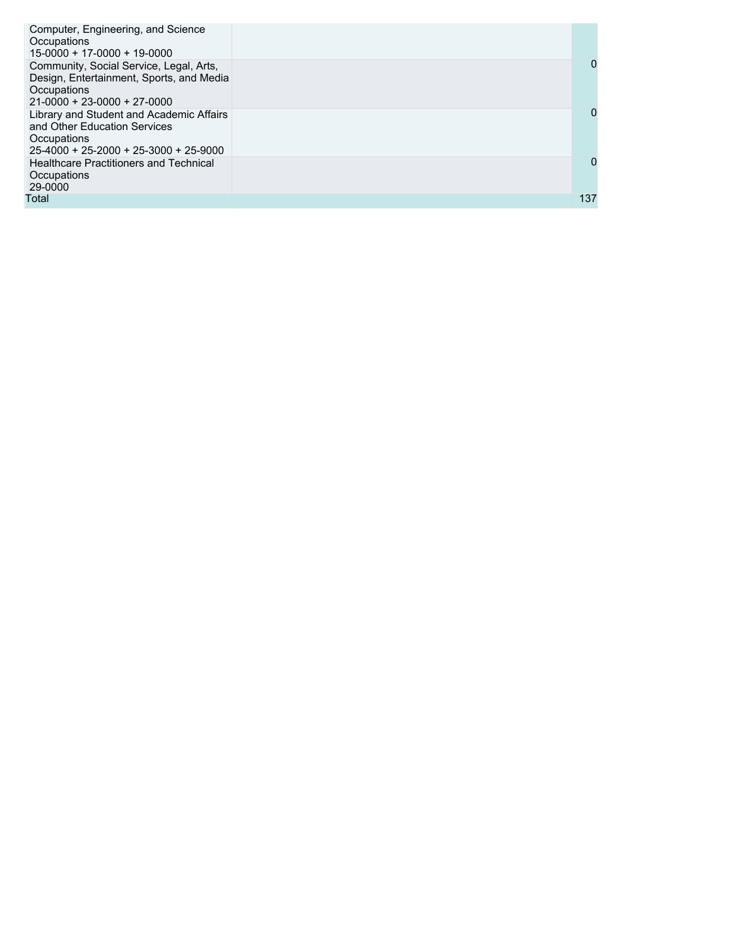| Computer, Engineering, and Science<br>Occupations<br>$15-0000 + 17-0000 + 19-0000$                                                  |     |
|-------------------------------------------------------------------------------------------------------------------------------------|-----|
| Community, Social Service, Legal, Arts,<br>Design, Entertainment, Sports, and Media<br>Occupations<br>$21-0000 + 23-0000 + 27-0000$ | 0   |
| Library and Student and Academic Affairs<br>and Other Education Services<br>Occupations<br>$25-4000 + 25-2000 + 25-3000 + 25-9000$  | 0   |
| <b>Healthcare Practitioners and Technical</b><br>Occupations<br>29-0000                                                             | 0   |
| Total                                                                                                                               | 137 |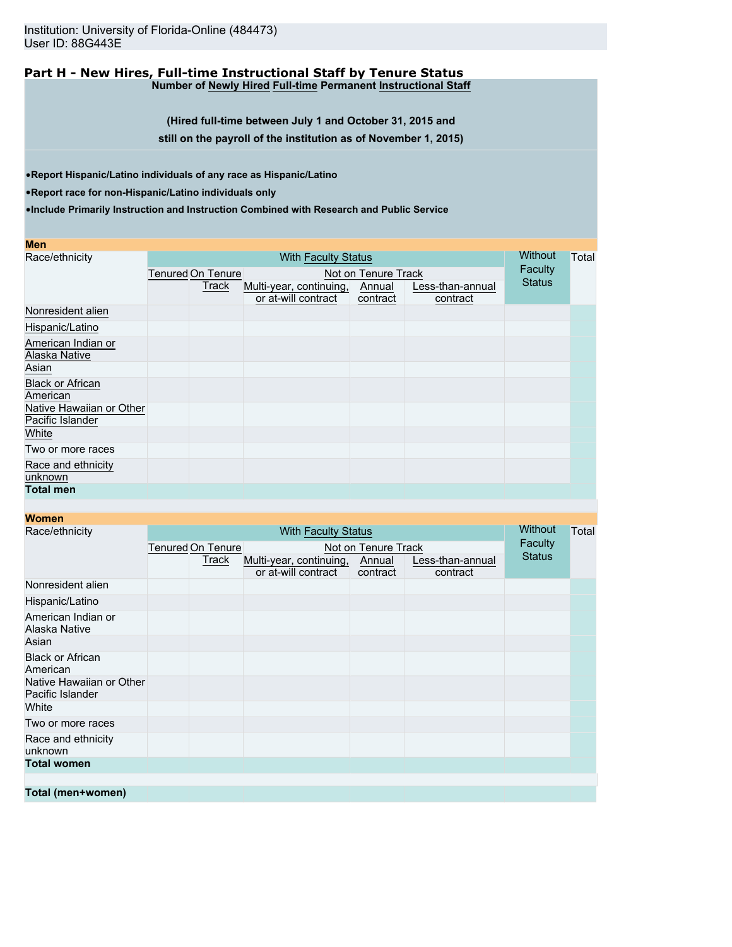#### **Part H - New Hires, Full-time Instructional Staff by Tenure Status Number of Newly Hired Full-time Permanent Instructional Staff**

**(Hired full-time between July 1 and October 31, 2015 and**

**still on the payroll of the institution as of November 1, 2015)**

•**Report Hispanic/Latino individuals of any race as Hispanic/Latino**

•**Report race for non-Hispanic/Latino individuals only**

•**Include Primarily Instruction and Instruction Combined with Research and Public Service**

| <b>Men</b>               |                          |                            |          |                  | Without       |  |  |  |  |
|--------------------------|--------------------------|----------------------------|----------|------------------|---------------|--|--|--|--|
| Race/ethnicity           |                          | <b>With Faculty Status</b> |          |                  |               |  |  |  |  |
|                          | <b>Tenured On Tenure</b> | Faculty                    |          |                  |               |  |  |  |  |
|                          | Track                    | Multi-year, continuing,    | Annual   | Less-than-annual | <b>Status</b> |  |  |  |  |
|                          |                          | or at-will contract        | contract | contract         |               |  |  |  |  |
| Nonresident alien        |                          |                            |          |                  |               |  |  |  |  |
| Hispanic/Latino          |                          |                            |          |                  |               |  |  |  |  |
| American Indian or       |                          |                            |          |                  |               |  |  |  |  |
| Alaska Native            |                          |                            |          |                  |               |  |  |  |  |
| Asian                    |                          |                            |          |                  |               |  |  |  |  |
| <b>Black or African</b>  |                          |                            |          |                  |               |  |  |  |  |
| American                 |                          |                            |          |                  |               |  |  |  |  |
| Native Hawaiian or Other |                          |                            |          |                  |               |  |  |  |  |
| Pacific Islander         |                          |                            |          |                  |               |  |  |  |  |
| White                    |                          |                            |          |                  |               |  |  |  |  |
| Two or more races        |                          |                            |          |                  |               |  |  |  |  |
| Race and ethnicity       |                          |                            |          |                  |               |  |  |  |  |
| unknown                  |                          |                            |          |                  |               |  |  |  |  |
| <b>Total men</b>         |                          |                            |          |                  |               |  |  |  |  |
|                          |                          |                            |          |                  |               |  |  |  |  |

| Race/ethnicity                               |                                                 | <b>Without</b> | Total                   |          |                  |               |  |
|----------------------------------------------|-------------------------------------------------|----------------|-------------------------|----------|------------------|---------------|--|
|                                              | <b>Tenured On Tenure</b><br>Not on Tenure Track |                |                         |          | <b>Faculty</b>   |               |  |
|                                              | Track                                           |                | Multi-year, continuing, | Annual   | Less-than-annual | <b>Status</b> |  |
|                                              |                                                 |                | or at-will contract     | contract | contract         |               |  |
| Nonresident alien                            |                                                 |                |                         |          |                  |               |  |
| Hispanic/Latino                              |                                                 |                |                         |          |                  |               |  |
| American Indian or<br>Alaska Native          |                                                 |                |                         |          |                  |               |  |
| Asian                                        |                                                 |                |                         |          |                  |               |  |
| <b>Black or African</b><br>American          |                                                 |                |                         |          |                  |               |  |
| Native Hawaiian or Other<br>Pacific Islander |                                                 |                |                         |          |                  |               |  |
| White                                        |                                                 |                |                         |          |                  |               |  |
| Two or more races                            |                                                 |                |                         |          |                  |               |  |
| Race and ethnicity<br>unknown                |                                                 |                |                         |          |                  |               |  |
| <b>Total women</b>                           |                                                 |                |                         |          |                  |               |  |
|                                              |                                                 |                |                         |          |                  |               |  |
| Total (men+women)                            |                                                 |                |                         |          |                  |               |  |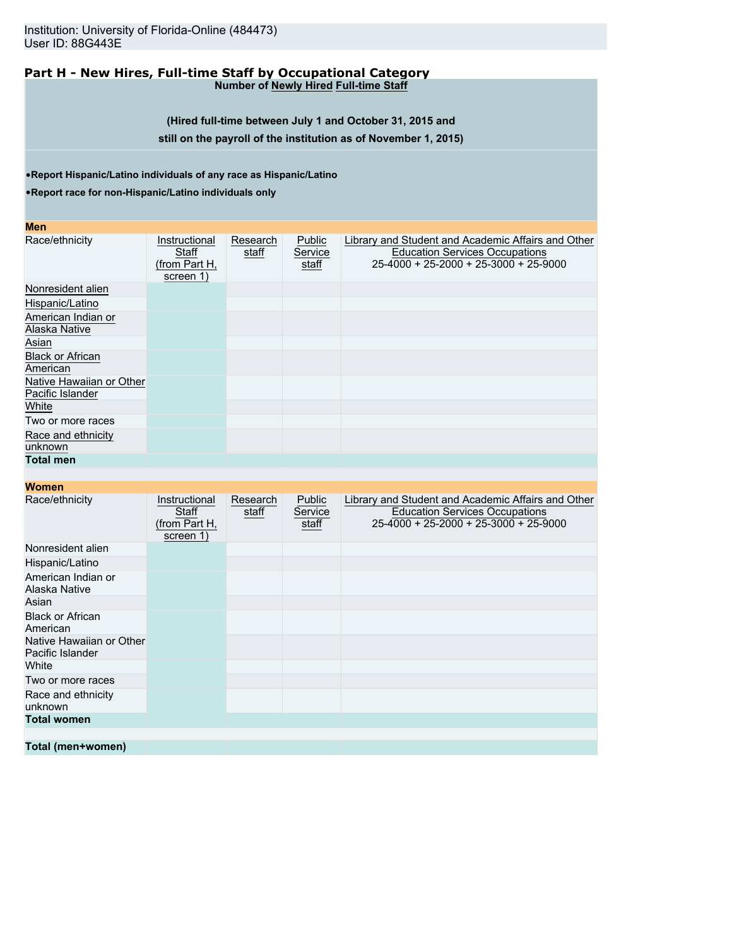Institution: University of Florida-Online (484473) User ID: 88G443E

#### **Part H - New Hires, Full-time Staff by Occupational Category Number of Newly Hired Full-time Staff**

**(Hired full-time between July 1 and October 31, 2015 and still on the payroll of the institution as of November 1, 2015)**

•**Report Hispanic/Latino individuals of any race as Hispanic/Latino**

•**Report race for non-Hispanic/Latino individuals only**

| <b>Men</b>                                   |                                                      |                   |                            |                                                                                                                                      |
|----------------------------------------------|------------------------------------------------------|-------------------|----------------------------|--------------------------------------------------------------------------------------------------------------------------------------|
| Race/ethnicity                               | Instructional<br>Staff<br>(from Part H,<br>screen 1) | Research<br>staff | Public<br>Service<br>staff | Library and Student and Academic Affairs and Other<br><b>Education Services Occupations</b><br>25-4000 + 25-2000 + 25-3000 + 25-9000 |
| Nonresident alien                            |                                                      |                   |                            |                                                                                                                                      |
| Hispanic/Latino                              |                                                      |                   |                            |                                                                                                                                      |
| American Indian or<br>Alaska Native          |                                                      |                   |                            |                                                                                                                                      |
| Asian                                        |                                                      |                   |                            |                                                                                                                                      |
| <b>Black or African</b><br>American          |                                                      |                   |                            |                                                                                                                                      |
| Native Hawaiian or Other<br>Pacific Islander |                                                      |                   |                            |                                                                                                                                      |
| White                                        |                                                      |                   |                            |                                                                                                                                      |
| Two or more races                            |                                                      |                   |                            |                                                                                                                                      |
| Race and ethnicity                           |                                                      |                   |                            |                                                                                                                                      |
| unknown                                      |                                                      |                   |                            |                                                                                                                                      |
| <b>Total men</b>                             |                                                      |                   |                            |                                                                                                                                      |
| <b>Women</b>                                 |                                                      |                   |                            |                                                                                                                                      |
| Race/ethnicity                               | Instructional                                        | Research          | Public                     | Library and Student and Academic Affairs and Other                                                                                   |
|                                              | Staff<br>(from Part H,<br>screen 1)                  | staff             | Service<br>staff           | <b>Education Services Occupations</b><br>$25 - 4000 + 25 - 2000 + 25 - 3000 + 25 - 9000$                                             |
| Nonresident alien                            |                                                      |                   |                            |                                                                                                                                      |
| Hispanic/Latino                              |                                                      |                   |                            |                                                                                                                                      |
| American Indian or<br>Alaska Native          |                                                      |                   |                            |                                                                                                                                      |
| Asian                                        |                                                      |                   |                            |                                                                                                                                      |
| <b>Black or African</b><br>American          |                                                      |                   |                            |                                                                                                                                      |
| Native Hawaiian or Other<br>Pacific Islander |                                                      |                   |                            |                                                                                                                                      |
| White                                        |                                                      |                   |                            |                                                                                                                                      |
| Two or more races                            |                                                      |                   |                            |                                                                                                                                      |
| Race and ethnicity<br>unknown                |                                                      |                   |                            |                                                                                                                                      |
| <b>Total women</b>                           |                                                      |                   |                            |                                                                                                                                      |
|                                              |                                                      |                   |                            |                                                                                                                                      |
| Total (men+women)                            |                                                      |                   |                            |                                                                                                                                      |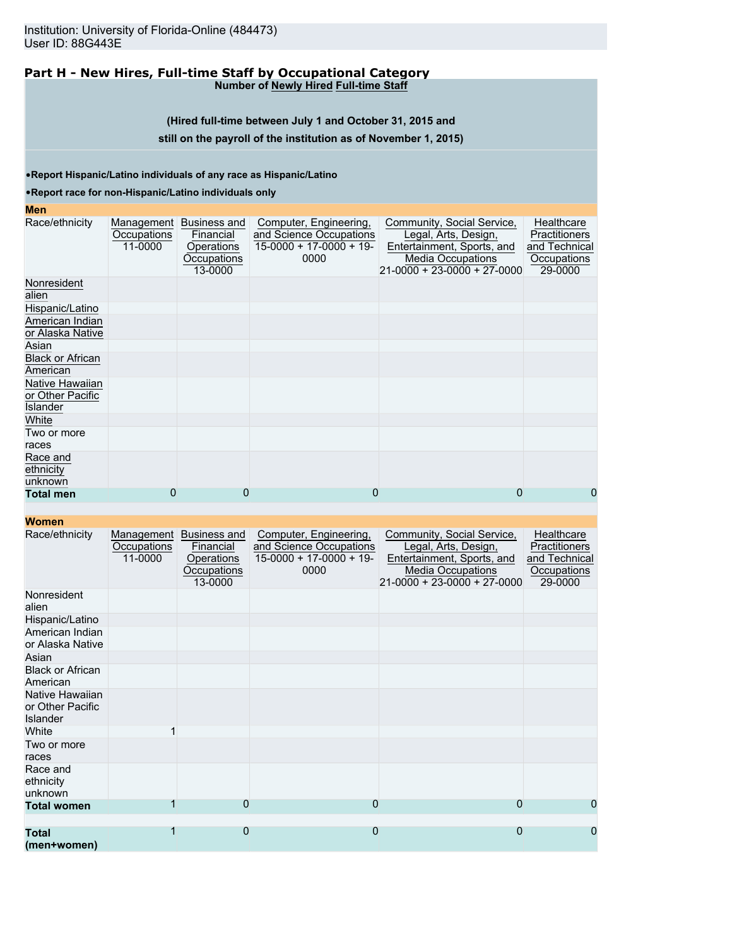#### **Part H - New Hires, Full-time Staff by Occupational Category Number of Newly Hired Full-time Staff**

**(Hired full-time between July 1 and October 31, 2015 and**

### **still on the payroll of the institution as of November 1, 2015)**

•**Report Hispanic/Latino individuals of any race as Hispanic/Latino**

#### •**Report race for non-Hispanic/Latino individuals only**

### **Men**

| Race/ethnicity                                  | Management<br>Occupations<br>11-0000 | Business and<br>Financial<br>Operations<br>Occupations<br>13-0000 | Computer, Engineering,<br>and Science Occupations<br>$15-0000 + 17-0000 + 19$<br>0000 | Community, Social Service,<br>Legal, Arts, Design,<br>Entertainment, Sports, and<br><b>Media Occupations</b><br>21-0000 + 23-0000 + 27-0000 | Healthcare<br><b>Practitioners</b><br>and Technical<br>Occupations<br>29-0000 |
|-------------------------------------------------|--------------------------------------|-------------------------------------------------------------------|---------------------------------------------------------------------------------------|---------------------------------------------------------------------------------------------------------------------------------------------|-------------------------------------------------------------------------------|
| Nonresident<br>alien                            |                                      |                                                                   |                                                                                       |                                                                                                                                             |                                                                               |
| Hispanic/Latino                                 |                                      |                                                                   |                                                                                       |                                                                                                                                             |                                                                               |
| American Indian<br>or Alaska Native             |                                      |                                                                   |                                                                                       |                                                                                                                                             |                                                                               |
| Asian                                           |                                      |                                                                   |                                                                                       |                                                                                                                                             |                                                                               |
| <b>Black or African</b><br>American             |                                      |                                                                   |                                                                                       |                                                                                                                                             |                                                                               |
| Native Hawaiian<br>or Other Pacific<br>Islander |                                      |                                                                   |                                                                                       |                                                                                                                                             |                                                                               |
| White                                           |                                      |                                                                   |                                                                                       |                                                                                                                                             |                                                                               |
| Two or more<br>races                            |                                      |                                                                   |                                                                                       |                                                                                                                                             |                                                                               |
| Race and<br>ethnicity<br>unknown                |                                      |                                                                   |                                                                                       |                                                                                                                                             |                                                                               |
| <b>Total men</b>                                | 0                                    | 0                                                                 | 0                                                                                     | 0                                                                                                                                           | 0                                                                             |

| Race/ethnicity                                         | Management<br>Occupations<br>11-0000 | <b>Business and</b><br>Financial<br>Operations<br>Occupations<br>13-0000 | Computer, Engineering,<br>and Science Occupations<br>$15-0000 + 17-0000 + 19$<br>0000 | Community, Social Service,<br>Legal, Arts, Design,<br>Entertainment, Sports, and<br><b>Media Occupations</b><br>$21 - 0000 + 23 - 0000 + 27 - 0000$ | Healthcare<br><b>Practitioners</b><br>and Technical<br>Occupations<br>29-0000 |
|--------------------------------------------------------|--------------------------------------|--------------------------------------------------------------------------|---------------------------------------------------------------------------------------|-----------------------------------------------------------------------------------------------------------------------------------------------------|-------------------------------------------------------------------------------|
| Nonresident<br>alien                                   |                                      |                                                                          |                                                                                       |                                                                                                                                                     |                                                                               |
| Hispanic/Latino                                        |                                      |                                                                          |                                                                                       |                                                                                                                                                     |                                                                               |
| American Indian<br>or Alaska Native                    |                                      |                                                                          |                                                                                       |                                                                                                                                                     |                                                                               |
| Asian                                                  |                                      |                                                                          |                                                                                       |                                                                                                                                                     |                                                                               |
| <b>Black or African</b><br>American                    |                                      |                                                                          |                                                                                       |                                                                                                                                                     |                                                                               |
| Native Hawaiian<br>or Other Pacific<br><b>Islander</b> |                                      |                                                                          |                                                                                       |                                                                                                                                                     |                                                                               |
| White                                                  |                                      |                                                                          |                                                                                       |                                                                                                                                                     |                                                                               |
| Two or more<br>races                                   |                                      |                                                                          |                                                                                       |                                                                                                                                                     |                                                                               |
| Race and<br>ethnicity<br>unknown                       |                                      |                                                                          |                                                                                       |                                                                                                                                                     |                                                                               |
| <b>Total women</b>                                     |                                      | $\Omega$                                                                 | $\mathbf 0$                                                                           | $\mathbf 0$                                                                                                                                         | 0                                                                             |
|                                                        |                                      |                                                                          |                                                                                       |                                                                                                                                                     |                                                                               |
| <b>Total</b><br>(men+women)                            | 1                                    | $\mathbf{0}$                                                             | $\mathbf{0}$                                                                          | $\mathbf 0$                                                                                                                                         | 0                                                                             |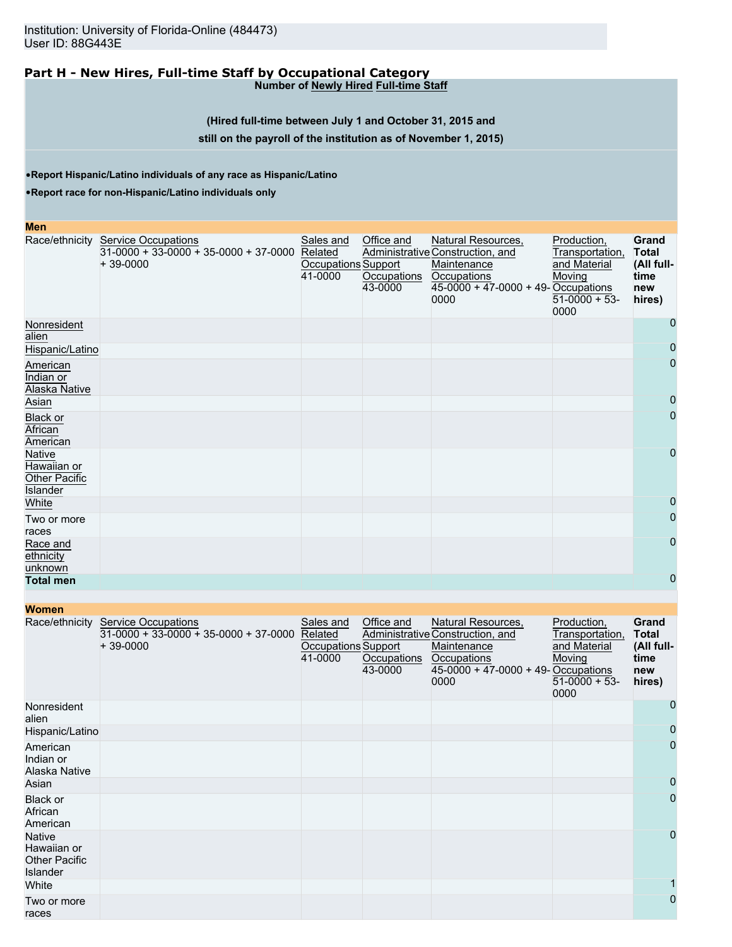#### **Part H - New Hires, Full-time Staff by Occupational Category Number of Newly Hired Full-time Staff**

#### **(Hired full-time between July 1 and October 31, 2015 and**

#### **still on the payroll of the institution as of November 1, 2015)**

•**Report Hispanic/Latino individuals of any race as Hispanic/Latino**

•**Report race for non-Hispanic/Latino individuals only**

| Men                                                       |                                                                                     |                                                        |                                      |                                                                                                                                       |                                                                                    |                                                              |
|-----------------------------------------------------------|-------------------------------------------------------------------------------------|--------------------------------------------------------|--------------------------------------|---------------------------------------------------------------------------------------------------------------------------------------|------------------------------------------------------------------------------------|--------------------------------------------------------------|
| Race/ethnicity                                            | <b>Service Occupations</b><br>$31-0000 + 33-0000 + 35-0000 + 37-0000$<br>$+39-0000$ | Sales and<br>Related<br>Occupations Support<br>41-0000 | Office and<br>Occupations<br>43-0000 | Natural Resources,<br>Administrative Construction, and<br>Maintenance<br>Occupations<br>$45-0000 + 47-0000 + 49$ -Occupations<br>0000 | Production,<br>Transportation,<br>and Material<br>Moving<br>$51-0000 + 53$<br>0000 | Grand<br><b>Total</b><br>(All full-<br>time<br>new<br>hires) |
| Nonresident<br>alien                                      |                                                                                     |                                                        |                                      |                                                                                                                                       |                                                                                    | 0                                                            |
| Hispanic/Latino                                           |                                                                                     |                                                        |                                      |                                                                                                                                       |                                                                                    | $\mathbf 0$                                                  |
| American<br>Indian or<br><b>Alaska Native</b>             |                                                                                     |                                                        |                                      |                                                                                                                                       |                                                                                    | $\overline{0}$                                               |
| Asian                                                     |                                                                                     |                                                        |                                      |                                                                                                                                       |                                                                                    | 0                                                            |
| Black or<br>African<br>American                           |                                                                                     |                                                        |                                      |                                                                                                                                       |                                                                                    | $\overline{0}$                                               |
| <b>Native</b><br>Hawaiian or<br>Other Pacific<br>Islander |                                                                                     |                                                        |                                      |                                                                                                                                       |                                                                                    | $\mathbf 0$                                                  |
| White                                                     |                                                                                     |                                                        |                                      |                                                                                                                                       |                                                                                    | 0                                                            |
| Two or more<br>races                                      |                                                                                     |                                                        |                                      |                                                                                                                                       |                                                                                    | $\overline{0}$                                               |
| Race and<br>ethnicity<br>unknown                          |                                                                                     |                                                        |                                      |                                                                                                                                       |                                                                                    | $\overline{0}$                                               |
| <b>Total men</b>                                          |                                                                                     |                                                        |                                      |                                                                                                                                       |                                                                                    | $\mathbf 0$                                                  |

**Women** Race/ethnicity Service Occupations 31-0000 + 33-0000 + 35-0000 + 37-0000 + 39-0000 Sales and Related Occupations Support 41-0000 Office and Administrative Construction, and **Occupations** 43-0000 Natural Resources, Maintenance **Occupations** 45-0000 + 47-0000 + 49- Occupations 0000 Production, Transportation, and Material Moving 51-0000 + 53- 0000 **Grand Total (All fulltime new hires)** Nonresident alien 0 Hispanic/Latino 0 American Indian or Alaska Native 0 Asian and the company of the company of the company of the company of the company of the company of the company 0 Black or African American 0 Native Hawaiian or Other Pacific Islander<br>White 0 White the contract of the contract of the contract of the contract of the contract of the contract of the contract of the contract of the contract of the contract of the contract of the contract of the contract of the cont 1 Two or more races 0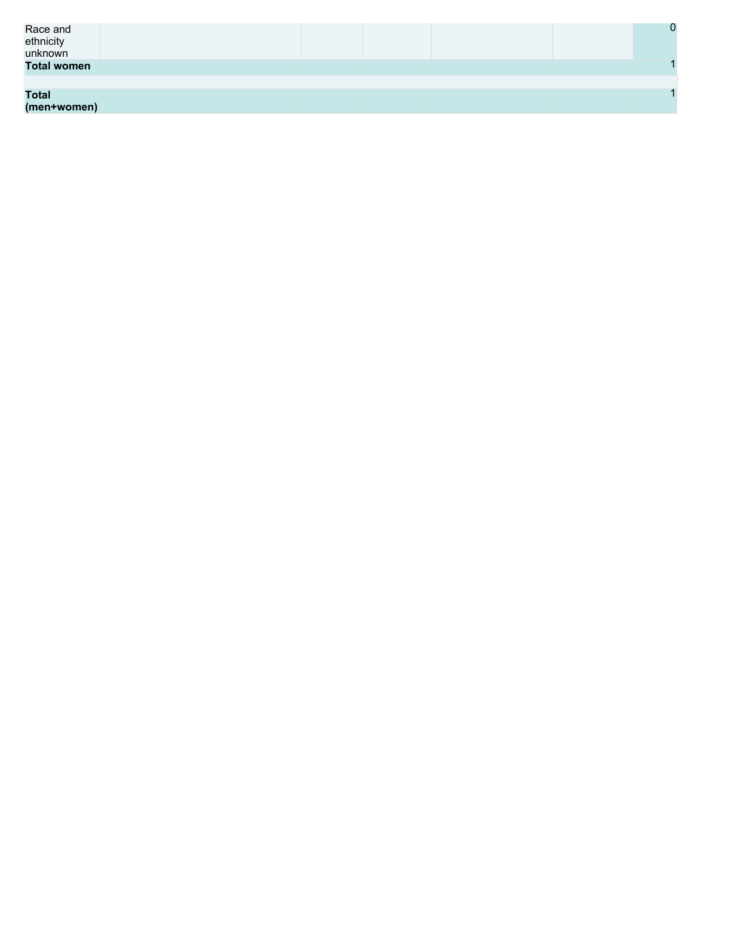| Race and<br>ethnicity<br>unknown |  |  | 0 |
|----------------------------------|--|--|---|
| <b>Total women</b>               |  |  |   |
|                                  |  |  |   |
| <b>Total</b>                     |  |  |   |
| (men+women)                      |  |  |   |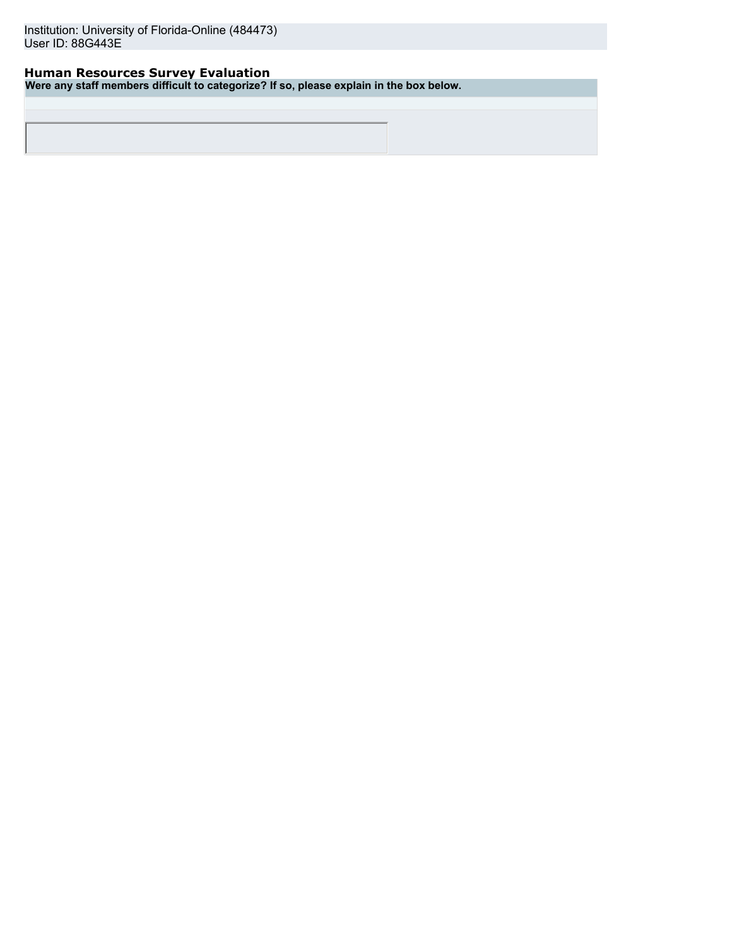### **Human Resources Survey Evaluation**

**Were any staff members difficult to categorize? If so, please explain in the box below.**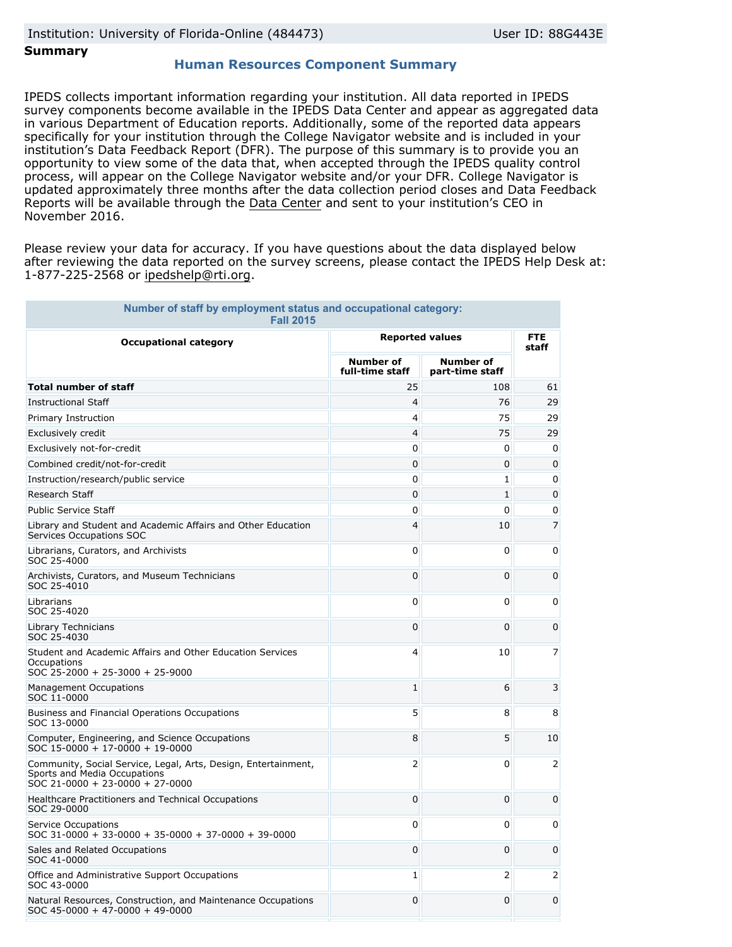### **Summary**

### **Human Resources Component Summary**

IPEDS collects important information regarding your institution. All data reported in IPEDS survey components become available in the IPEDS Data Center and appear as aggregated data in various Department of Education reports. Additionally, some of the reported data appears specifically for your institution through the College Navigator website and is included in your institution's Data Feedback Report (DFR). The purpose of this summary is to provide you an opportunity to view some of the data that, when accepted through the IPEDS quality control process, will appear on the College Navigator website and/or your DFR. College Navigator is updated approximately three months after the data collection period closes and Data Feedback Reports will be available through the [Data Center](http://nces.ed.gov/ipeds/datacenter/) and sent to your institution's CEO in November 2016.

Please review your data for accuracy. If you have questions about the data displayed below after reviewing the data reported on the survey screens, please contact the IPEDS Help Desk at: 1-877-225-2568 or ipedshelp@rti.org.

| Number of staff by employment status and occupational category:<br><b>Fall 2015</b>                                                 |                                     |                                     |                     |
|-------------------------------------------------------------------------------------------------------------------------------------|-------------------------------------|-------------------------------------|---------------------|
| <b>Occupational category</b>                                                                                                        | <b>Reported values</b>              |                                     | <b>FTE</b><br>staff |
|                                                                                                                                     | <b>Number of</b><br>full-time staff | <b>Number of</b><br>part-time staff |                     |
| <b>Total number of staff</b>                                                                                                        | 25                                  | 108                                 | 61                  |
| <b>Instructional Staff</b>                                                                                                          | $\overline{4}$                      | 76                                  | 29                  |
| Primary Instruction                                                                                                                 | $\overline{4}$                      | 75                                  | 29                  |
| Exclusively credit                                                                                                                  | 4                                   | 75                                  | 29                  |
| Exclusively not-for-credit                                                                                                          | 0                                   | 0                                   | 0                   |
| Combined credit/not-for-credit                                                                                                      | 0                                   | 0                                   | $\Omega$            |
| Instruction/research/public service                                                                                                 | 0                                   | 1                                   | 0                   |
| Research Staff                                                                                                                      | 0                                   | 1                                   | 0                   |
| <b>Public Service Staff</b>                                                                                                         | 0                                   | 0                                   | 0                   |
| Library and Student and Academic Affairs and Other Education<br>Services Occupations SOC                                            | 4                                   | 10                                  | 7                   |
| Librarians, Curators, and Archivists<br>SOC 25-4000                                                                                 | 0                                   | 0                                   | 0                   |
| Archivists, Curators, and Museum Technicians<br>SOC 25-4010                                                                         | 0                                   | 0                                   | $\Omega$            |
| Librarians<br>SOC 25-4020                                                                                                           | 0                                   | 0                                   | 0                   |
| <b>Library Technicians</b><br>SOC 25-4030                                                                                           | 0                                   | 0                                   | $\mathbf{0}$        |
| Student and Academic Affairs and Other Education Services<br>Occupations<br>SOC 25-2000 + 25-3000 + 25-9000                         | 4                                   | 10                                  | 7                   |
| <b>Management Occupations</b><br>SOC 11-0000                                                                                        | $\mathbf{1}$                        | 6                                   | 3                   |
| Business and Financial Operations Occupations<br>SOC 13-0000                                                                        | 5                                   | 8                                   | 8                   |
| Computer, Engineering, and Science Occupations<br>SOC 15-0000 + 17-0000 + 19-0000                                                   | 8                                   | 5                                   | 10                  |
| Community, Social Service, Legal, Arts, Design, Entertainment,<br>Sports and Media Occupations<br>$SOC$ 21-0000 + 23-0000 + 27-0000 | 2                                   | 0                                   | 2                   |
| Healthcare Practitioners and Technical Occupations<br>SOC 29-0000                                                                   | 0                                   | 0                                   | $\mathbf{0}$        |
| Service Occupations<br>SOC 31-0000 + 33-0000 + 35-0000 + 37-0000 + 39-0000                                                          | $\mathbf 0$                         | 0                                   | 0                   |
| Sales and Related Occupations<br>SOC 41-0000                                                                                        | 0                                   | 0                                   | $\Omega$            |
| Office and Administrative Support Occupations<br>SOC 43-0000                                                                        | $\mathbf{1}$                        | 2                                   | 2                   |
| Natural Resources, Construction, and Maintenance Occupations<br>$SOC$ 45-0000 + 47-0000 + 49-0000                                   | 0                                   | 0                                   | 0                   |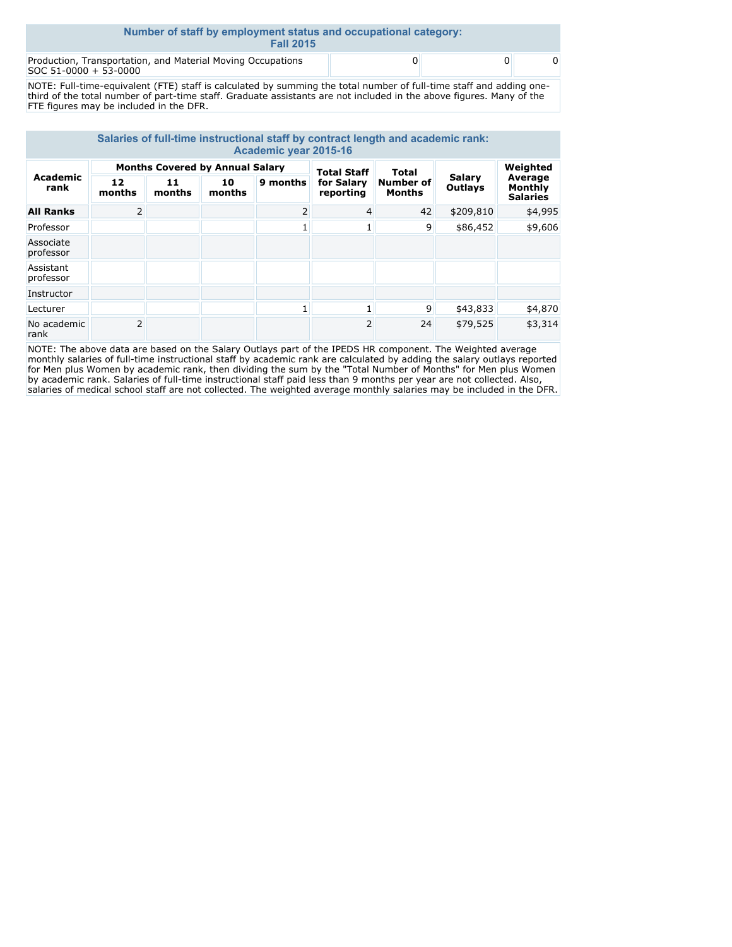| Number of staff by employment status and occupational category:<br><b>Fall 2015</b>  |  |  |  |  |  |  |
|--------------------------------------------------------------------------------------|--|--|--|--|--|--|
| Production, Transportation, and Material Moving Occupations<br>SOC 51-0000 + 53-0000 |  |  |  |  |  |  |

NOTE: Full-time-equivalent (FTE) staff is calculated by summing the total number of full-time staff and adding onethird of the total number of part-time staff. Graduate assistants are not included in the above figures. Many of the FTE figures may be included in the DFR.

| Salaries of full-time instructional staff by contract length and academic rank:<br>Academic year 2015-16 |                |                                        |              |          |                         |                                   |                   |                                       |
|----------------------------------------------------------------------------------------------------------|----------------|----------------------------------------|--------------|----------|-------------------------|-----------------------------------|-------------------|---------------------------------------|
|                                                                                                          |                | <b>Months Covered by Annual Salary</b> |              |          | <b>Total Staff</b>      | Total                             |                   | Weighted                              |
| Academic<br>rank                                                                                         | 12<br>months   | 11<br>months                           | 10<br>months | 9 months | for Salary<br>reporting | <b>Number of</b><br><b>Months</b> | Salary<br>Outlays | Average<br>Monthly<br><b>Salaries</b> |
| <b>All Ranks</b>                                                                                         | $\overline{2}$ |                                        |              | 2        | $\overline{4}$          | 42                                | \$209,810         | \$4,995                               |
| Professor                                                                                                |                |                                        |              |          |                         | 9                                 | \$86,452          | \$9,606                               |
| Associate<br>professor                                                                                   |                |                                        |              |          |                         |                                   |                   |                                       |
| Assistant<br>professor                                                                                   |                |                                        |              |          |                         |                                   |                   |                                       |
| Instructor                                                                                               |                |                                        |              |          |                         |                                   |                   |                                       |
| Lecturer                                                                                                 |                |                                        |              |          | 1                       | 9                                 | \$43,833          | \$4,870                               |
| No academic<br>rank                                                                                      | 2              |                                        |              |          | $\overline{2}$          | 24                                | \$79,525          | \$3,314                               |

NOTE: The above data are based on the Salary Outlays part of the IPEDS HR component. The Weighted average monthly salaries of full-time instructional staff by academic rank are calculated by adding the salary outlays reported for Men plus Women by academic rank, then dividing the sum by the "Total Number of Months" for Men plus Women by academic rank. Salaries of full-time instructional staff paid less than 9 months per year are not collected. Also, salaries of medical school staff are not collected. The weighted average monthly salaries may be included in the DFR.